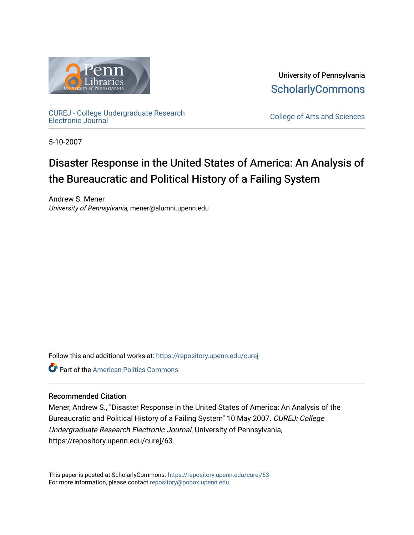

University of Pennsylvania **ScholarlyCommons** 

[CUREJ - College Undergraduate Research](https://repository.upenn.edu/curej) 

College of Arts and Sciences

5-10-2007

## Disaster Response in the United States of America: An Analysis of the Bureaucratic and Political History of a Failing System

Andrew S. Mener University of Pennsylvania, mener@alumni.upenn.edu

Follow this and additional works at: [https://repository.upenn.edu/curej](https://repository.upenn.edu/curej?utm_source=repository.upenn.edu%2Fcurej%2F63&utm_medium=PDF&utm_campaign=PDFCoverPages)

**C** Part of the American Politics Commons

### Recommended Citation

Mener, Andrew S., "Disaster Response in the United States of America: An Analysis of the Bureaucratic and Political History of a Failing System" 10 May 2007. CUREJ: College Undergraduate Research Electronic Journal, University of Pennsylvania, https://repository.upenn.edu/curej/63.

This paper is posted at ScholarlyCommons.<https://repository.upenn.edu/curej/63> For more information, please contact [repository@pobox.upenn.edu.](mailto:repository@pobox.upenn.edu)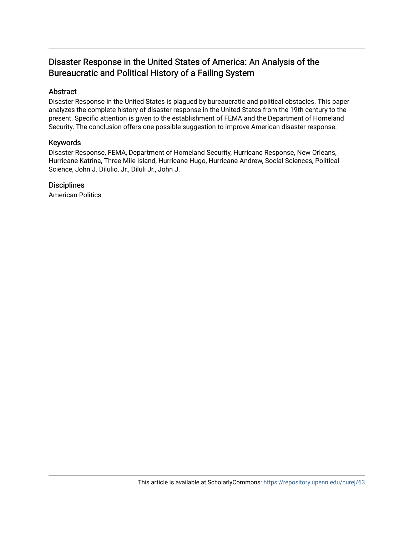### Disaster Response in the United States of America: An Analysis of the Bureaucratic and Political History of a Failing System

### Abstract

Disaster Response in the United States is plagued by bureaucratic and political obstacles. This paper analyzes the complete history of disaster response in the United States from the 19th century to the present. Specific attention is given to the establishment of FEMA and the Department of Homeland Security. The conclusion offers one possible suggestion to improve American disaster response.

### Keywords

Disaster Response, FEMA, Department of Homeland Security, Hurricane Response, New Orleans, Hurricane Katrina, Three Mile Island, Hurricane Hugo, Hurricane Andrew, Social Sciences, Political Science, John J. Dilulio, Jr., Diluli Jr., John J.

### **Disciplines**

American Politics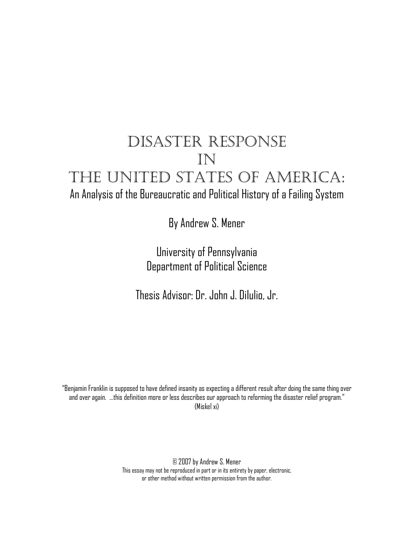# DISASTER RESPONSE IN THE UNITED STATES OF AMERICA: An Analysis of the Bureaucratic and Political History of a Failing System

By Andrew S. Mener

University of Pennsylvania Department of Political Science

Thesis Advisor: Dr. John J. DiIulio, Jr.

"Benjamin Franklin is supposed to have defined insanity as expecting a different result after doing the same thing over and over again. …this definition more or less describes our approach to reforming the disaster relief program." (Miskel xi)

> © 2007 by Andrew S. Mener This essay may not be reproduced in part or in its entirety by paper, electronic, or other method without written permission from the author.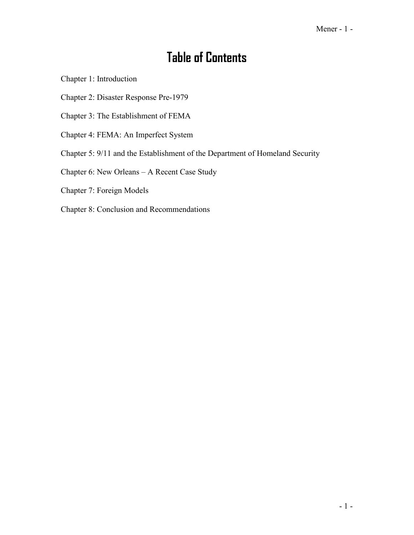## **Table of Contents**

Chapter 1: Introduction

Chapter 2: Disaster Response Pre-1979

Chapter 3: The Establishment of FEMA

- Chapter 4: FEMA: An Imperfect System
- Chapter 5: 9/11 and the Establishment of the Department of Homeland Security

Chapter 6: New Orleans – A Recent Case Study

- Chapter 7: Foreign Models
- Chapter 8: Conclusion and Recommendations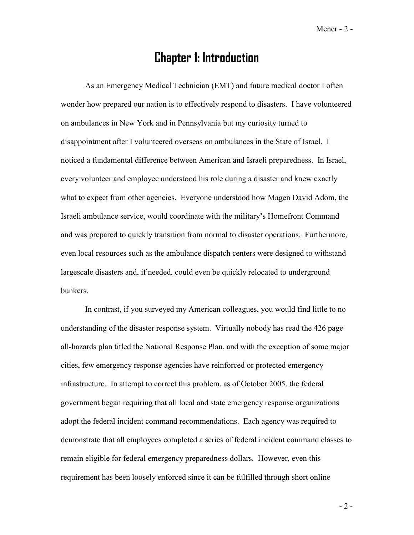### **Chapter 1: Introduction**

As an Emergency Medical Technician (EMT) and future medical doctor I often wonder how prepared our nation is to effectively respond to disasters. I have volunteered on ambulances in New York and in Pennsylvania but my curiosity turned to disappointment after I volunteered overseas on ambulances in the State of Israel. I noticed a fundamental difference between American and Israeli preparedness. In Israel, every volunteer and employee understood his role during a disaster and knew exactly what to expect from other agencies. Everyone understood how Magen David Adom, the Israeli ambulance service, would coordinate with the military's Homefront Command and was prepared to quickly transition from normal to disaster operations. Furthermore, even local resources such as the ambulance dispatch centers were designed to withstand largescale disasters and, if needed, could even be quickly relocated to underground bunkers.

 In contrast, if you surveyed my American colleagues, you would find little to no understanding of the disaster response system. Virtually nobody has read the 426 page all-hazards plan titled the National Response Plan, and with the exception of some major cities, few emergency response agencies have reinforced or protected emergency infrastructure. In attempt to correct this problem, as of October 2005, the federal government began requiring that all local and state emergency response organizations adopt the federal incident command recommendations. Each agency was required to demonstrate that all employees completed a series of federal incident command classes to remain eligible for federal emergency preparedness dollars. However, even this requirement has been loosely enforced since it can be fulfilled through short online

 $-2-$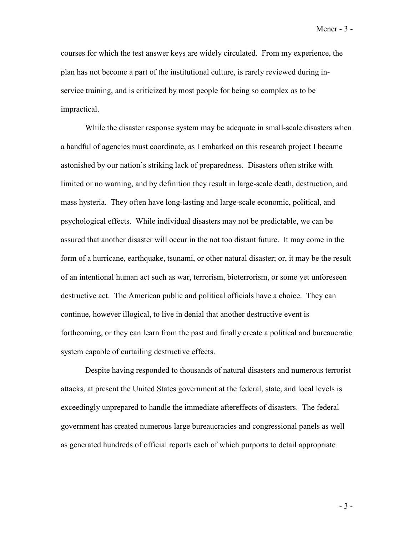Mener - 3 -

courses for which the test answer keys are widely circulated. From my experience, the plan has not become a part of the institutional culture, is rarely reviewed during inservice training, and is criticized by most people for being so complex as to be impractical.

 While the disaster response system may be adequate in small-scale disasters when a handful of agencies must coordinate, as I embarked on this research project I became astonished by our nation's striking lack of preparedness. Disasters often strike with limited or no warning, and by definition they result in large-scale death, destruction, and mass hysteria. They often have long-lasting and large-scale economic, political, and psychological effects. While individual disasters may not be predictable, we can be assured that another disaster will occur in the not too distant future. It may come in the form of a hurricane, earthquake, tsunami, or other natural disaster; or, it may be the result of an intentional human act such as war, terrorism, bioterrorism, or some yet unforeseen destructive act. The American public and political officials have a choice. They can continue, however illogical, to live in denial that another destructive event is forthcoming, or they can learn from the past and finally create a political and bureaucratic system capable of curtailing destructive effects.

 Despite having responded to thousands of natural disasters and numerous terrorist attacks, at present the United States government at the federal, state, and local levels is exceedingly unprepared to handle the immediate aftereffects of disasters. The federal government has created numerous large bureaucracies and congressional panels as well as generated hundreds of official reports each of which purports to detail appropriate

- 3 -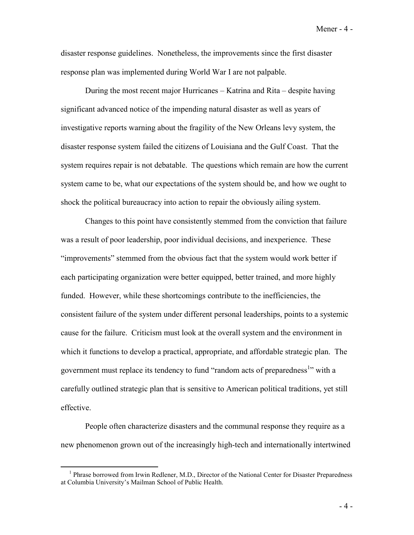Mener - 4 -

disaster response guidelines. Nonetheless, the improvements since the first disaster response plan was implemented during World War I are not palpable.

 During the most recent major Hurricanes – Katrina and Rita – despite having significant advanced notice of the impending natural disaster as well as years of investigative reports warning about the fragility of the New Orleans levy system, the disaster response system failed the citizens of Louisiana and the Gulf Coast. That the system requires repair is not debatable. The questions which remain are how the current system came to be, what our expectations of the system should be, and how we ought to shock the political bureaucracy into action to repair the obviously ailing system.

 Changes to this point have consistently stemmed from the conviction that failure was a result of poor leadership, poor individual decisions, and inexperience. These "improvements" stemmed from the obvious fact that the system would work better if each participating organization were better equipped, better trained, and more highly funded. However, while these shortcomings contribute to the inefficiencies, the consistent failure of the system under different personal leaderships, points to a systemic cause for the failure. Criticism must look at the overall system and the environment in which it functions to develop a practical, appropriate, and affordable strategic plan. The government must replace its tendency to fund "random acts of preparedness<sup>1</sup>" with a carefully outlined strategic plan that is sensitive to American political traditions, yet still effective.

 People often characterize disasters and the communal response they require as a new phenomenon grown out of the increasingly high-tech and internationally intertwined

- 4 -

<sup>&</sup>lt;sup>1</sup> Phrase borrowed from Irwin Redlener, M.D., Director of the National Center for Disaster Preparedness at Columbia University's Mailman School of Public Health.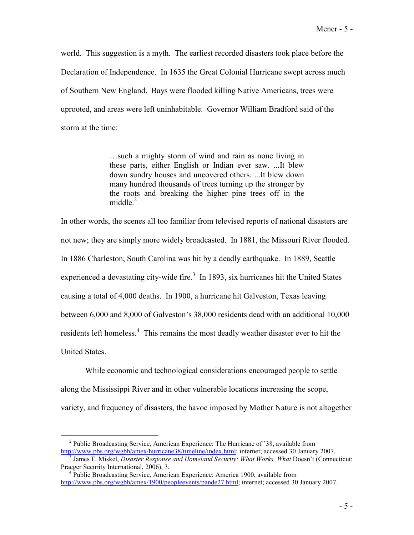Mener - 5 -

world. This suggestion is a myth. The earliest recorded disasters took place before the Declaration of Independence. In 1635 the Great Colonial Hurricane swept across much of Southern New England. Bays were flooded killing Native Americans, trees were uprooted, and areas were left uninhabitable. Governor William Bradford said of the storm at the time:

> …such a mighty storm of wind and rain as none living in these parts, either English or Indian ever saw. ...It blew down sundry houses and uncovered others. ...It blew down many hundred thousands of trees turning up the stronger by the roots and breaking the higher pine trees off in the middle $^2$

In other words, the scenes all too familiar from televised reports of national disasters are not new; they are simply more widely broadcasted. In 1881, the Missouri River flooded. In 1886 Charleston, South Carolina was hit by a deadly earthquake. In 1889, Seattle experienced a devastating city-wide fire.<sup>3</sup> In 1893, six hurricanes hit the United States causing a total of 4,000 deaths. In 1900, a hurricane hit Galveston, Texas leaving between 6,000 and 8,000 of Galveston's 38,000 residents dead with an additional 10,000 residents left homeless.<sup>4</sup> This remains the most deadly weather disaster ever to hit the United States.

 While economic and technological considerations encouraged people to settle along the Mississippi River and in other vulnerable locations increasing the scope, variety, and frequency of disasters, the havoc imposed by Mother Nature is not altogether

<sup>&</sup>lt;sup>2</sup> Public Broadcasting Service, American Experience: The Hurricane of '38, available from http://www.pbs.org/wgbh/amex/hurricane38/timeline/index.html; internet; accessed 30 January 2007.

<sup>&</sup>lt;sup>3</sup> James F. Miskel, *Disaster Response and Homeland Security: What Works, What Doesn't (Connecticut:* Praeger Security International, 2006), 3. 4 Public Broadcasting Service, American Experience: America 1900, available from

http://www.pbs.org/wgbh/amex/1900/peopleevents/pande27.html; internet; accessed 30 January 2007.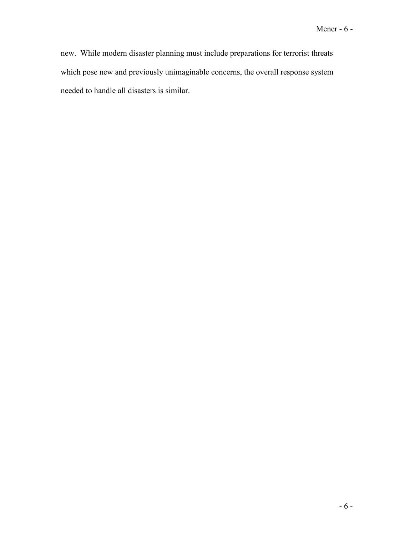new. While modern disaster planning must include preparations for terrorist threats which pose new and previously unimaginable concerns, the overall response system needed to handle all disasters is similar.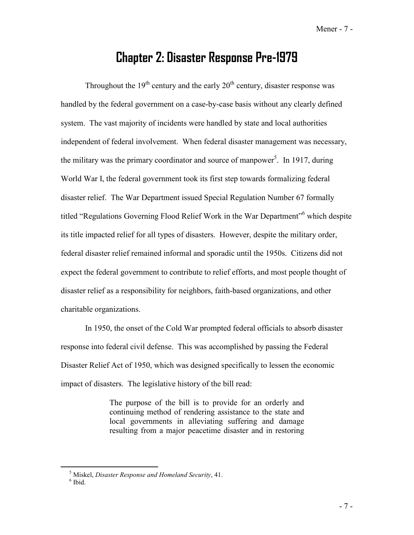Mener - 7 -

## **Chapter 2: Disaster Response Pre-1979**

Throughout the  $19<sup>th</sup>$  century and the early  $20<sup>th</sup>$  century, disaster response was handled by the federal government on a case-by-case basis without any clearly defined system. The vast majority of incidents were handled by state and local authorities independent of federal involvement. When federal disaster management was necessary, the military was the primary coordinator and source of manpower<sup>5</sup>. In 1917, during World War I, the federal government took its first step towards formalizing federal disaster relief. The War Department issued Special Regulation Number 67 formally titled "Regulations Governing Flood Relief Work in the War Department"<sup>6</sup> which despite its title impacted relief for all types of disasters. However, despite the military order, federal disaster relief remained informal and sporadic until the 1950s. Citizens did not expect the federal government to contribute to relief efforts, and most people thought of disaster relief as a responsibility for neighbors, faith-based organizations, and other charitable organizations.

 In 1950, the onset of the Cold War prompted federal officials to absorb disaster response into federal civil defense. This was accomplished by passing the Federal Disaster Relief Act of 1950, which was designed specifically to lessen the economic impact of disasters. The legislative history of the bill read:

> The purpose of the bill is to provide for an orderly and continuing method of rendering assistance to the state and local governments in alleviating suffering and damage resulting from a major peacetime disaster and in restoring

<sup>5</sup> Miskel, *Disaster Response and Homeland Security*, 41. 6 Ibid.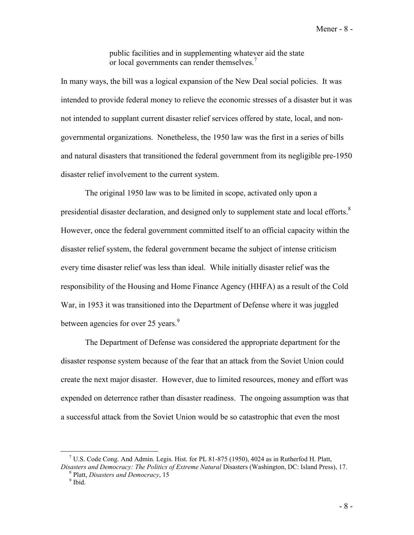public facilities and in supplementing whatever aid the state or local governments can render themselves.<sup>7</sup>

In many ways, the bill was a logical expansion of the New Deal social policies. It was intended to provide federal money to relieve the economic stresses of a disaster but it was not intended to supplant current disaster relief services offered by state, local, and nongovernmental organizations. Nonetheless, the 1950 law was the first in a series of bills and natural disasters that transitioned the federal government from its negligible pre-1950 disaster relief involvement to the current system.

 The original 1950 law was to be limited in scope, activated only upon a presidential disaster declaration, and designed only to supplement state and local efforts.<sup>8</sup> However, once the federal government committed itself to an official capacity within the disaster relief system, the federal government became the subject of intense criticism every time disaster relief was less than ideal. While initially disaster relief was the responsibility of the Housing and Home Finance Agency (HHFA) as a result of the Cold War, in 1953 it was transitioned into the Department of Defense where it was juggled between agencies for over 25 years.<sup>9</sup>

The Department of Defense was considered the appropriate department for the disaster response system because of the fear that an attack from the Soviet Union could create the next major disaster. However, due to limited resources, money and effort was expended on deterrence rather than disaster readiness. The ongoing assumption was that a successful attack from the Soviet Union would be so catastrophic that even the most

<sup>&</sup>lt;sup>7</sup> U.S. Code Cong. And Admin. Legis. Hist. for PL 81-875 (1950), 4024 as in Rutherfod H. Platt,

*Disasters and Democracy: The Politics of Extreme Natural Disasters (Washington, DC: Island Press), 17.* <sup>8</sup> Platt, *Disasters and Democracy*, 15 9 Ibid.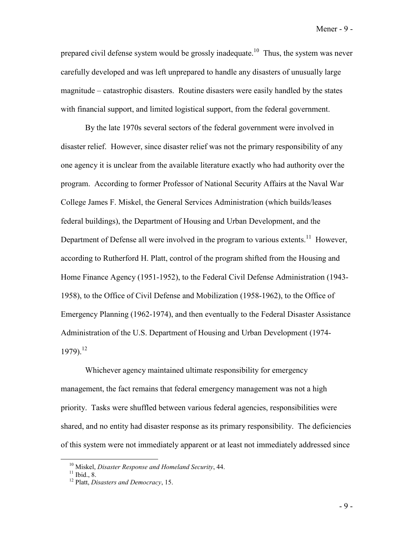Mener - 9 -

prepared civil defense system would be grossly inadequate.<sup>10</sup> Thus, the system was never carefully developed and was left unprepared to handle any disasters of unusually large magnitude – catastrophic disasters. Routine disasters were easily handled by the states with financial support, and limited logistical support, from the federal government.

 By the late 1970s several sectors of the federal government were involved in disaster relief. However, since disaster relief was not the primary responsibility of any one agency it is unclear from the available literature exactly who had authority over the program. According to former Professor of National Security Affairs at the Naval War College James F. Miskel, the General Services Administration (which builds/leases federal buildings), the Department of Housing and Urban Development, and the Department of Defense all were involved in the program to various extents.<sup>11</sup> However, according to Rutherford H. Platt, control of the program shifted from the Housing and Home Finance Agency (1951-1952), to the Federal Civil Defense Administration (1943- 1958), to the Office of Civil Defense and Mobilization (1958-1962), to the Office of Emergency Planning (1962-1974), and then eventually to the Federal Disaster Assistance Administration of the U.S. Department of Housing and Urban Development (1974-  $1979$ ).<sup>12</sup>

Whichever agency maintained ultimate responsibility for emergency management, the fact remains that federal emergency management was not a high priority. Tasks were shuffled between various federal agencies, responsibilities were shared, and no entity had disaster response as its primary responsibility. The deficiencies of this system were not immediately apparent or at least not immediately addressed since

<sup>&</sup>lt;sup>10</sup> Miskel, *Disaster Response and Homeland Security*, 44.<br><sup>11</sup> Ibid., 8.

<sup>12</sup> Platt, *Disasters and Democracy*, 15.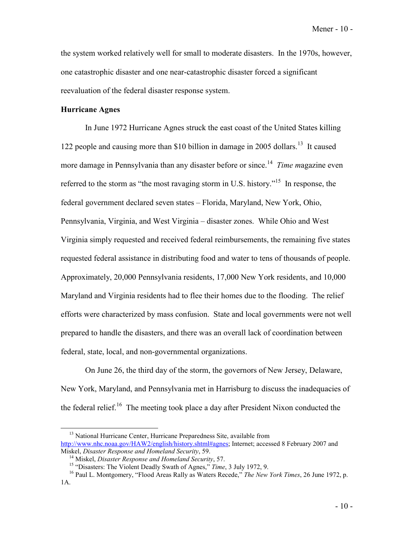Mener - 10 -

the system worked relatively well for small to moderate disasters. In the 1970s, however, one catastrophic disaster and one near-catastrophic disaster forced a significant reevaluation of the federal disaster response system.

### **Hurricane Agnes**

 In June 1972 Hurricane Agnes struck the east coast of the United States killing 122 people and causing more than \$10 billion in damage in 2005 dollars.<sup>13</sup> It caused more damage in Pennsylvania than any disaster before or since.<sup>14</sup> *Time magazine even* referred to the storm as "the most ravaging storm in U.S. history."<sup>15</sup> In response, the federal government declared seven states – Florida, Maryland, New York, Ohio, Pennsylvania, Virginia, and West Virginia – disaster zones. While Ohio and West Virginia simply requested and received federal reimbursements, the remaining five states requested federal assistance in distributing food and water to tens of thousands of people. Approximately, 20,000 Pennsylvania residents, 17,000 New York residents, and 10,000 Maryland and Virginia residents had to flee their homes due to the flooding. The relief efforts were characterized by mass confusion. State and local governments were not well prepared to handle the disasters, and there was an overall lack of coordination between federal, state, local, and non-governmental organizations.

 On June 26, the third day of the storm, the governors of New Jersey, Delaware, New York, Maryland, and Pennsylvania met in Harrisburg to discuss the inadequacies of the federal relief.<sup>16</sup> The meeting took place a day after President Nixon conducted the

<sup>&</sup>lt;sup>13</sup> National Hurricane Center, Hurricane Preparedness Site, available from http://www.nhc.noaa.gov/HAW2/english/history.shtml#agnes; Internet; accessed 8 February 2007 and<br>Miskel, *Disaster Response and Homeland Security*, 59.

<sup>&</sup>lt;sup>14</sup> Miskel, *Disaster Response and Homeland Security*, 57.<br><sup>15</sup> "Disasters: The Violent Deadly Swath of Agnes," *Time*, 3 July 1972, 9.<br><sup>16</sup> Paul L. Montgomery, "Flood Areas Rally as Waters Recede," *The New York Times*, 1A.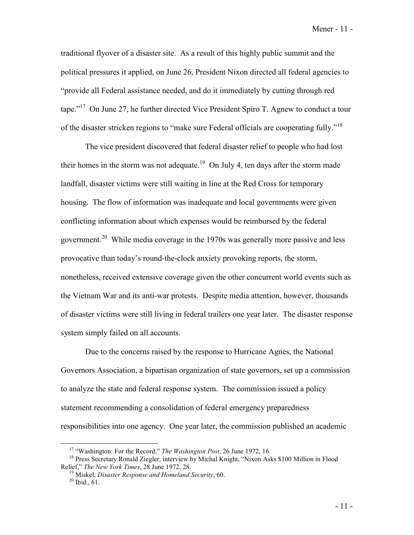Mener - 11 -

traditional flyover of a disaster site. As a result of this highly public summit and the political pressures it applied, on June 26, President Nixon directed all federal agencies to "provide all Federal assistance needed, and do it immediately by cutting through red tape."<sup>17</sup> On June 27, he further directed Vice President Spiro T. Agnew to conduct a tour of the disaster stricken regions to "make sure Federal officials are cooperating fully."<sup>18</sup>

The vice president discovered that federal disaster relief to people who had lost their homes in the storm was not adequate.<sup>19</sup> On July 4, ten days after the storm made landfall, disaster victims were still waiting in line at the Red Cross for temporary housing. The flow of information was inadequate and local governments were given conflicting information about which expenses would be reimbursed by the federal government.<sup>20</sup> While media coverage in the 1970s was generally more passive and less provocative than today's round-the-clock anxiety provoking reports, the storm, nonetheless, received extensive coverage given the other concurrent world events such as the Vietnam War and its anti-war protests. Despite media attention, however, thousands of disaster victims were still living in federal trailers one year later. The disaster response system simply failed on all accounts.

 Due to the concerns raised by the response to Hurricane Agnes, the National Governors Association, a bipartisan organization of state governors, set up a commission to analyze the state and federal response system. The commission issued a policy statement recommending a consolidation of federal emergency preparedness responsibilities into one agency. One year later, the commission published an academic

<sup>&</sup>lt;sup>17</sup> "Washington: For the Record," *The Washington Post*, 26 June 1972, 16.<br><sup>18</sup> Press Secretary Ronald Ziegler, interview by Michal Knight, "Nixon Asks \$100 Million in Flood<br>Relief," *The New York Times*, 28 June 1972, 28

<sup>&</sup>lt;sup>19</sup> Miskel, *Disaster Response and Homeland Security*, 60. <sup>20</sup> Ibid., 61.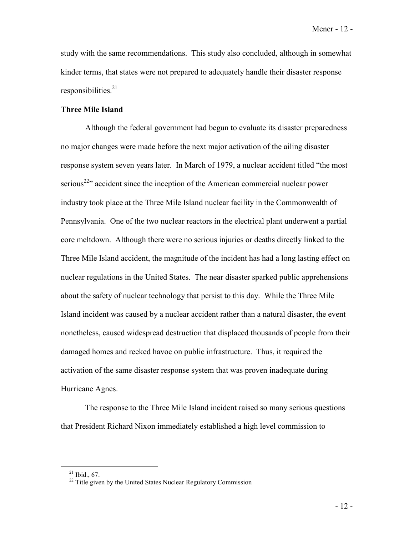Mener - 12 -

study with the same recommendations. This study also concluded, although in somewhat kinder terms, that states were not prepared to adequately handle their disaster response responsibilities. $21$ 

### **Three Mile Island**

 Although the federal government had begun to evaluate its disaster preparedness no major changes were made before the next major activation of the ailing disaster response system seven years later. In March of 1979, a nuclear accident titled "the most serious<sup>22</sup> $\alpha$  accident since the inception of the American commercial nuclear power industry took place at the Three Mile Island nuclear facility in the Commonwealth of Pennsylvania. One of the two nuclear reactors in the electrical plant underwent a partial core meltdown. Although there were no serious injuries or deaths directly linked to the Three Mile Island accident, the magnitude of the incident has had a long lasting effect on nuclear regulations in the United States. The near disaster sparked public apprehensions about the safety of nuclear technology that persist to this day. While the Three Mile Island incident was caused by a nuclear accident rather than a natural disaster, the event nonetheless, caused widespread destruction that displaced thousands of people from their damaged homes and reeked havoc on public infrastructure. Thus, it required the activation of the same disaster response system that was proven inadequate during Hurricane Agnes.

 The response to the Three Mile Island incident raised so many serious questions that President Richard Nixon immediately established a high level commission to

 $21$  Ibid., 67.

<sup>&</sup>lt;sup>22</sup> Title given by the United States Nuclear Regulatory Commission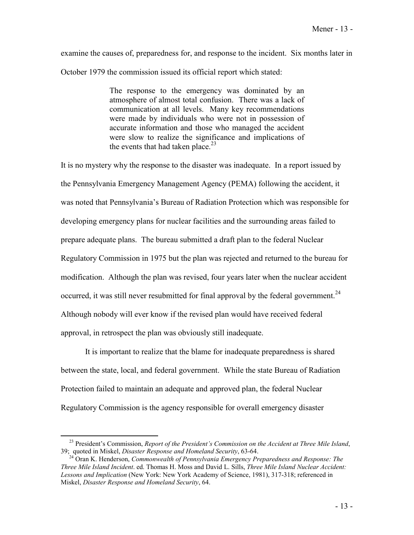examine the causes of, preparedness for, and response to the incident. Six months later in October 1979 the commission issued its official report which stated:

> The response to the emergency was dominated by an atmosphere of almost total confusion. There was a lack of communication at all levels. Many key recommendations were made by individuals who were not in possession of accurate information and those who managed the accident were slow to realize the significance and implications of the events that had taken place.  $2^3$

It is no mystery why the response to the disaster was inadequate. In a report issued by the Pennsylvania Emergency Management Agency (PEMA) following the accident, it was noted that Pennsylvania's Bureau of Radiation Protection which was responsible for developing emergency plans for nuclear facilities and the surrounding areas failed to prepare adequate plans. The bureau submitted a draft plan to the federal Nuclear Regulatory Commission in 1975 but the plan was rejected and returned to the bureau for modification. Although the plan was revised, four years later when the nuclear accident occurred, it was still never resubmitted for final approval by the federal government.<sup>24</sup> Although nobody will ever know if the revised plan would have received federal approval, in retrospect the plan was obviously still inadequate.

 It is important to realize that the blame for inadequate preparedness is shared between the state, local, and federal government. While the state Bureau of Radiation Protection failed to maintain an adequate and approved plan, the federal Nuclear Regulatory Commission is the agency responsible for overall emergency disaster

<sup>&</sup>lt;sup>23</sup> President's Commission, *Report of the President's Commission on the Accident at Three Mile Island*,<br>39: quoted in Miskel, *Disaster Response and Homeland Security*, 63-64.

<sup>&</sup>lt;sup>24</sup> Oran K. Henderson, *Commonwealth of Pennsylvania Emergency Preparedness and Response: The Three Mile Island Incident*. ed. Thomas H. Moss and David L. Sills, *Three Mile Island Nuclear Accident: Lessons and Implication* (New York: New York Academy of Science, 1981), 317-318; referenced in Miskel, *Disaster Response and Homeland Security*, 64.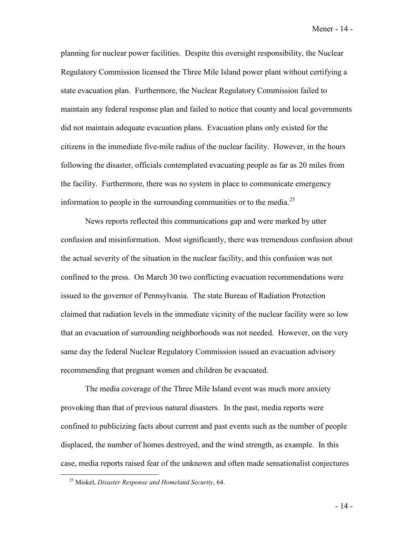Mener - 14 -

planning for nuclear power facilities. Despite this oversight responsibility, the Nuclear Regulatory Commission licensed the Three Mile Island power plant without certifying a state evacuation plan. Furthermore, the Nuclear Regulatory Commission failed to maintain any federal response plan and failed to notice that county and local governments did not maintain adequate evacuation plans. Evacuation plans only existed for the citizens in the immediate five-mile radius of the nuclear facility. However, in the hours following the disaster, officials contemplated evacuating people as far as 20 miles from the facility. Furthermore, there was no system in place to communicate emergency information to people in the surrounding communities or to the media.<sup>25</sup>

News reports reflected this communications gap and were marked by utter confusion and misinformation. Most significantly, there was tremendous confusion about the actual severity of the situation in the nuclear facility, and this confusion was not confined to the press. On March 30 two conflicting evacuation recommendations were issued to the governor of Pennsylvania. The state Bureau of Radiation Protection claimed that radiation levels in the immediate vicinity of the nuclear facility were so low that an evacuation of surrounding neighborhoods was not needed. However, on the very same day the federal Nuclear Regulatory Commission issued an evacuation advisory recommending that pregnant women and children be evacuated.

 The media coverage of the Three Mile Island event was much more anxiety provoking than that of previous natural disasters. In the past, media reports were confined to publicizing facts about current and past events such as the number of people displaced, the number of homes destroyed, and the wind strength, as example. In this case, media reports raised fear of the unknown and often made sensationalist conjectures

<sup>25</sup> Miskel, *Disaster Response and Homeland Security*, 64.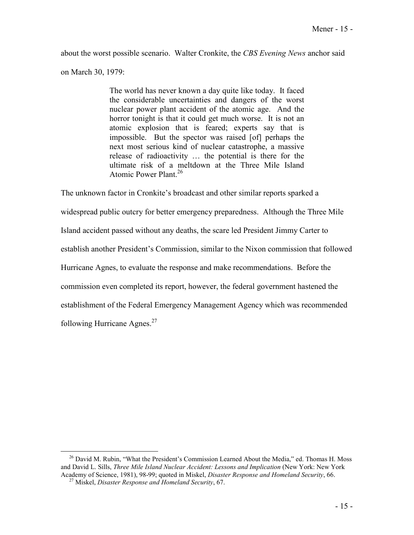about the worst possible scenario. Walter Cronkite, the *CBS Evening News* anchor said

on March 30, 1979:

The world has never known a day quite like today. It faced the considerable uncertainties and dangers of the worst nuclear power plant accident of the atomic age. And the horror tonight is that it could get much worse. It is not an atomic explosion that is feared; experts say that is impossible. But the spector was raised [of] perhaps the next most serious kind of nuclear catastrophe, a massive release of radioactivity … the potential is there for the ultimate risk of a meltdown at the Three Mile Island Atomic Power Plant.<sup>26</sup>

The unknown factor in Cronkite's broadcast and other similar reports sparked a widespread public outcry for better emergency preparedness. Although the Three Mile Island accident passed without any deaths, the scare led President Jimmy Carter to establish another President's Commission, similar to the Nixon commission that followed Hurricane Agnes, to evaluate the response and make recommendations. Before the commission even completed its report, however, the federal government hastened the establishment of the Federal Emergency Management Agency which was recommended following Hurricane Agnes. $27$ 

 $26$  David M. Rubin, "What the President's Commission Learned About the Media," ed. Thomas H. Moss and David L. Sills, *Three Mile Island Nuclear Accident: Lessons and Implication* (New York: New York Academy of Science, 1981), 98-99; quoted in Miskel, *Disaster Response and Homeland Security*, 66. 27 Miskel, *Disaster Response and Homeland Security*, 67.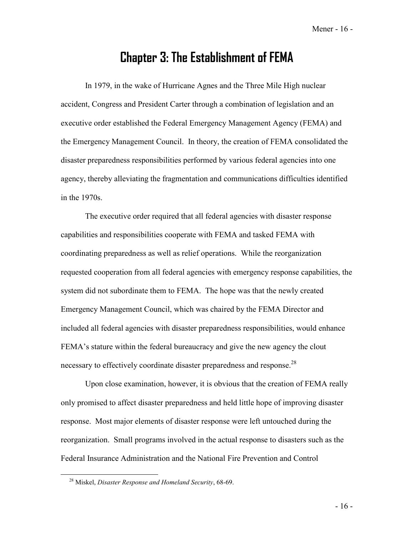Mener - 16 -

## **Chapter 3: The Establishment of FEMA**

 In 1979, in the wake of Hurricane Agnes and the Three Mile High nuclear accident, Congress and President Carter through a combination of legislation and an executive order established the Federal Emergency Management Agency (FEMA) and the Emergency Management Council. In theory, the creation of FEMA consolidated the disaster preparedness responsibilities performed by various federal agencies into one agency, thereby alleviating the fragmentation and communications difficulties identified in the 1970s.

 The executive order required that all federal agencies with disaster response capabilities and responsibilities cooperate with FEMA and tasked FEMA with coordinating preparedness as well as relief operations. While the reorganization requested cooperation from all federal agencies with emergency response capabilities, the system did not subordinate them to FEMA. The hope was that the newly created Emergency Management Council, which was chaired by the FEMA Director and included all federal agencies with disaster preparedness responsibilities, would enhance FEMA's stature within the federal bureaucracy and give the new agency the clout necessary to effectively coordinate disaster preparedness and response.<sup>28</sup>

Upon close examination, however, it is obvious that the creation of FEMA really only promised to affect disaster preparedness and held little hope of improving disaster response. Most major elements of disaster response were left untouched during the reorganization. Small programs involved in the actual response to disasters such as the Federal Insurance Administration and the National Fire Prevention and Control

<sup>28</sup> Miskel, *Disaster Response and Homeland Security*, 68-69.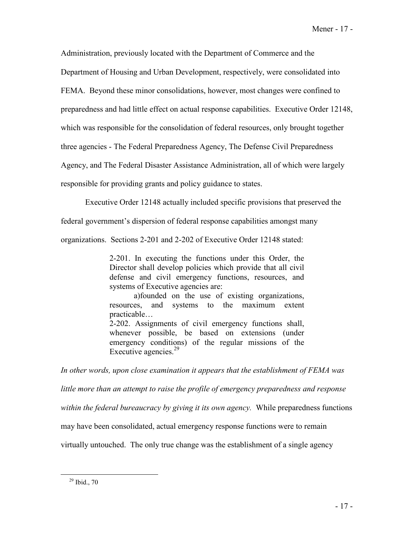Administration, previously located with the Department of Commerce and the

Department of Housing and Urban Development, respectively, were consolidated into

FEMA. Beyond these minor consolidations, however, most changes were confined to

preparedness and had little effect on actual response capabilities. Executive Order 12148,

which was responsible for the consolidation of federal resources, only brought together

three agencies - The Federal Preparedness Agency, The Defense Civil Preparedness

Agency, and The Federal Disaster Assistance Administration, all of which were largely

responsible for providing grants and policy guidance to states.

Executive Order 12148 actually included specific provisions that preserved the

federal government's dispersion of federal response capabilities amongst many

organizations. Sections 2-201 and 2-202 of Executive Order 12148 stated:

2-201. In executing the functions under this Order, the Director shall develop policies which provide that all civil defense and civil emergency functions, resources, and systems of Executive agencies are:

 a)founded on the use of existing organizations, resources, and systems to the maximum extent practicable…

2-202. Assignments of civil emergency functions shall, whenever possible, be based on extensions (under emergency conditions) of the regular missions of the Executive agencies.<sup>29</sup>

*In other words, upon close examination it appears that the establishment of FEMA was* 

*little more than an attempt to raise the profile of emergency preparedness and response* 

*within the federal bureaucracy by giving it its own agency.* While preparedness functions

may have been consolidated, actual emergency response functions were to remain

virtually untouched. The only true change was the establishment of a single agency

 $29$  Ibid., 70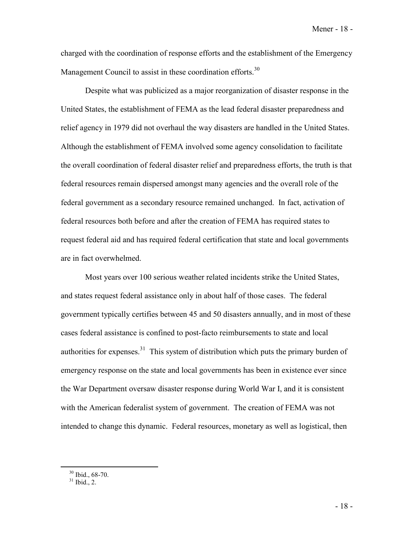charged with the coordination of response efforts and the establishment of the Emergency Management Council to assist in these coordination efforts.<sup>30</sup>

Despite what was publicized as a major reorganization of disaster response in the United States, the establishment of FEMA as the lead federal disaster preparedness and relief agency in 1979 did not overhaul the way disasters are handled in the United States. Although the establishment of FEMA involved some agency consolidation to facilitate the overall coordination of federal disaster relief and preparedness efforts, the truth is that federal resources remain dispersed amongst many agencies and the overall role of the federal government as a secondary resource remained unchanged. In fact, activation of federal resources both before and after the creation of FEMA has required states to request federal aid and has required federal certification that state and local governments are in fact overwhelmed.

 Most years over 100 serious weather related incidents strike the United States, and states request federal assistance only in about half of those cases. The federal government typically certifies between 45 and 50 disasters annually, and in most of these cases federal assistance is confined to post-facto reimbursements to state and local authorities for expenses.<sup>31</sup> This system of distribution which puts the primary burden of emergency response on the state and local governments has been in existence ever since the War Department oversaw disaster response during World War I, and it is consistent with the American federalist system of government. The creation of FEMA was not intended to change this dynamic. Federal resources, monetary as well as logistical, then

<sup>30</sup> Ibid., 68-70.

 $31$  Ibid., 2.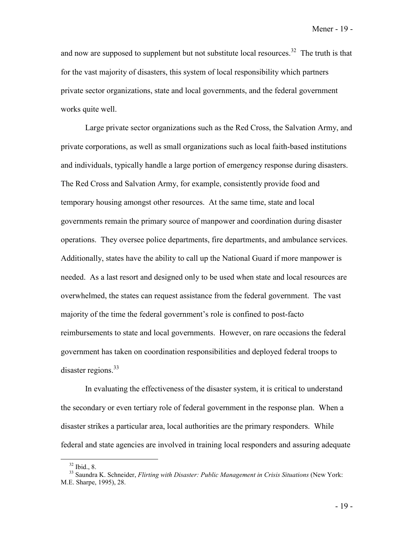and now are supposed to supplement but not substitute local resources.<sup>32</sup> The truth is that for the vast majority of disasters, this system of local responsibility which partners private sector organizations, state and local governments, and the federal government works quite well.

 Large private sector organizations such as the Red Cross, the Salvation Army, and private corporations, as well as small organizations such as local faith-based institutions and individuals, typically handle a large portion of emergency response during disasters. The Red Cross and Salvation Army, for example, consistently provide food and temporary housing amongst other resources. At the same time, state and local governments remain the primary source of manpower and coordination during disaster operations. They oversee police departments, fire departments, and ambulance services. Additionally, states have the ability to call up the National Guard if more manpower is needed. As a last resort and designed only to be used when state and local resources are overwhelmed, the states can request assistance from the federal government. The vast majority of the time the federal government's role is confined to post-facto reimbursements to state and local governments. However, on rare occasions the federal government has taken on coordination responsibilities and deployed federal troops to disaster regions.<sup>33</sup>

In evaluating the effectiveness of the disaster system, it is critical to understand the secondary or even tertiary role of federal government in the response plan. When a disaster strikes a particular area, local authorities are the primary responders. While federal and state agencies are involved in training local responders and assuring adequate

 $32$  Ibid., 8.

<sup>33</sup> Saundra K. Schneider, *Flirting with Disaster: Public Management in Crisis Situations* (New York: M.E. Sharpe, 1995), 28.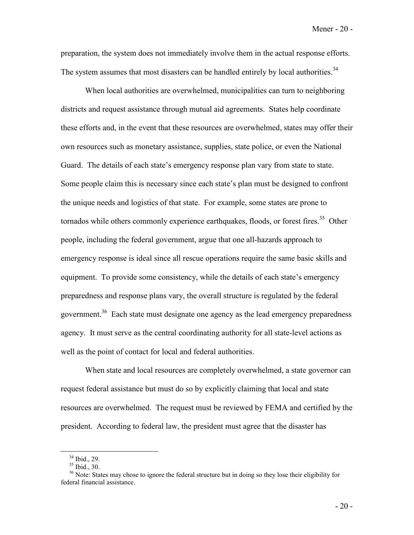preparation, the system does not immediately involve them in the actual response efforts. The system assumes that most disasters can be handled entirely by local authorities.<sup>34</sup>

When local authorities are overwhelmed, municipalities can turn to neighboring districts and request assistance through mutual aid agreements. States help coordinate these efforts and, in the event that these resources are overwhelmed, states may offer their own resources such as monetary assistance, supplies, state police, or even the National Guard. The details of each state's emergency response plan vary from state to state. Some people claim this is necessary since each state's plan must be designed to confront the unique needs and logistics of that state. For example, some states are prone to tornados while others commonly experience earthquakes, floods, or forest fires.<sup>35</sup> Other people, including the federal government, argue that one all-hazards approach to emergency response is ideal since all rescue operations require the same basic skills and equipment. To provide some consistency, while the details of each state's emergency preparedness and response plans vary, the overall structure is regulated by the federal government.<sup>36</sup> Each state must designate one agency as the lead emergency preparedness agency. It must serve as the central coordinating authority for all state-level actions as well as the point of contact for local and federal authorities.

 When state and local resources are completely overwhelmed, a state governor can request federal assistance but must do so by explicitly claiming that local and state resources are overwhelmed. The request must be reviewed by FEMA and certified by the president. According to federal law, the president must agree that the disaster has

<sup>34</sup> Ibid., 29.

 $35$  Ibid.,  $30$ .

<sup>&</sup>lt;sup>36</sup> Note: States may chose to ignore the federal structure but in doing so they lose their eligibility for federal financial assistance.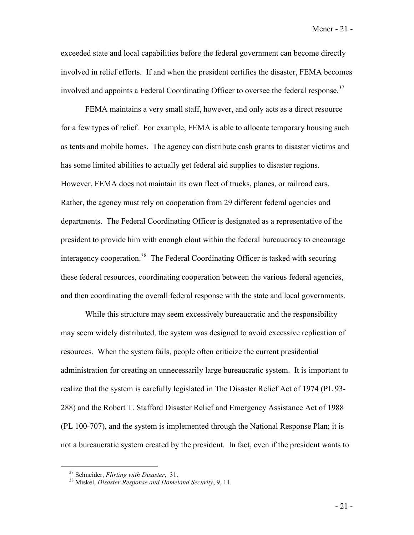exceeded state and local capabilities before the federal government can become directly involved in relief efforts. If and when the president certifies the disaster, FEMA becomes involved and appoints a Federal Coordinating Officer to oversee the federal response.<sup>37</sup>

FEMA maintains a very small staff, however, and only acts as a direct resource for a few types of relief. For example, FEMA is able to allocate temporary housing such as tents and mobile homes. The agency can distribute cash grants to disaster victims and has some limited abilities to actually get federal aid supplies to disaster regions. However, FEMA does not maintain its own fleet of trucks, planes, or railroad cars. Rather, the agency must rely on cooperation from 29 different federal agencies and departments. The Federal Coordinating Officer is designated as a representative of the president to provide him with enough clout within the federal bureaucracy to encourage interagency cooperation.<sup>38</sup> The Federal Coordinating Officer is tasked with securing these federal resources, coordinating cooperation between the various federal agencies, and then coordinating the overall federal response with the state and local governments.

 While this structure may seem excessively bureaucratic and the responsibility may seem widely distributed, the system was designed to avoid excessive replication of resources. When the system fails, people often criticize the current presidential administration for creating an unnecessarily large bureaucratic system. It is important to realize that the system is carefully legislated in The Disaster Relief Act of 1974 (PL 93- 288) and the Robert T. Stafford Disaster Relief and Emergency Assistance Act of 1988 (PL 100-707), and the system is implemented through the National Response Plan; it is not a bureaucratic system created by the president. In fact, even if the president wants to

<sup>37</sup> Schneider, *Flirting with Disaster*, 31. 38 Miskel, *Disaster Response and Homeland Security*, 9, 11.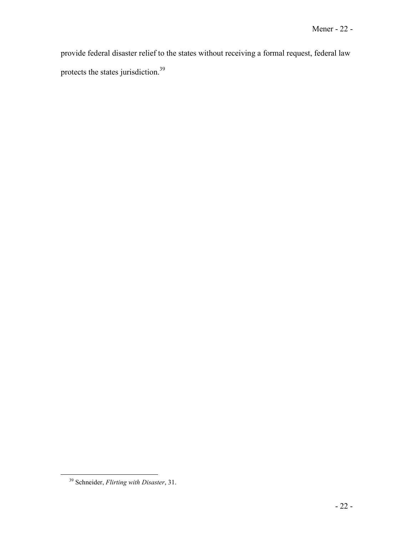provide federal disaster relief to the states without receiving a formal request, federal law protects the states jurisdiction.<sup>39</sup>

<sup>39</sup> Schneider, *Flirting with Disaster*, 31.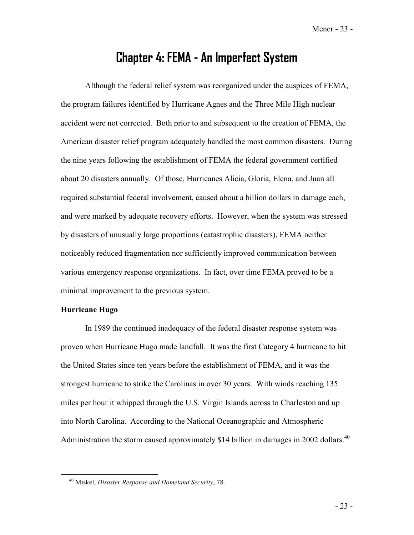Mener - 23 -

## **Chapter 4: FEMA - An Imperfect System**

 Although the federal relief system was reorganized under the auspices of FEMA, the program failures identified by Hurricane Agnes and the Three Mile High nuclear accident were not corrected. Both prior to and subsequent to the creation of FEMA, the American disaster relief program adequately handled the most common disasters. During the nine years following the establishment of FEMA the federal government certified about 20 disasters annually. Of those, Hurricanes Alicia, Gloria, Elena, and Juan all required substantial federal involvement, caused about a billion dollars in damage each, and were marked by adequate recovery efforts. However, when the system was stressed by disasters of unusually large proportions (catastrophic disasters), FEMA neither noticeably reduced fragmentation nor sufficiently improved communication between various emergency response organizations. In fact, over time FEMA proved to be a minimal improvement to the previous system.

### **Hurricane Hugo**

 In 1989 the continued inadequacy of the federal disaster response system was proven when Hurricane Hugo made landfall. It was the first Category 4 hurricane to hit the United States since ten years before the establishment of FEMA, and it was the strongest hurricane to strike the Carolinas in over 30 years. With winds reaching 135 miles per hour it whipped through the U.S. Virgin Islands across to Charleston and up into North Carolina. According to the National Oceanographic and Atmospheric Administration the storm caused approximately \$14 billion in damages in 2002 dollars.<sup>40</sup>

<sup>40</sup> Miskel, *Disaster Response and Homeland Security*, 78.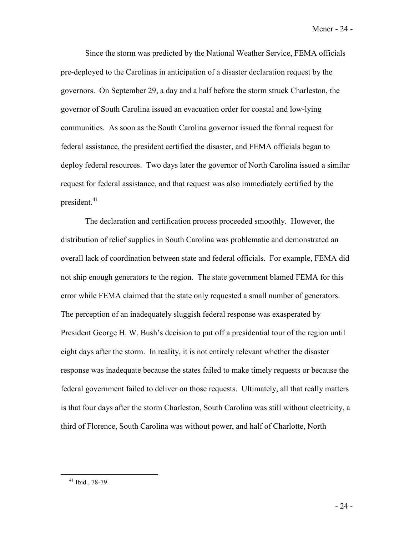Since the storm was predicted by the National Weather Service, FEMA officials pre-deployed to the Carolinas in anticipation of a disaster declaration request by the governors. On September 29, a day and a half before the storm struck Charleston, the governor of South Carolina issued an evacuation order for coastal and low-lying communities. As soon as the South Carolina governor issued the formal request for federal assistance, the president certified the disaster, and FEMA officials began to deploy federal resources. Two days later the governor of North Carolina issued a similar request for federal assistance, and that request was also immediately certified by the president. $41$ 

The declaration and certification process proceeded smoothly. However, the distribution of relief supplies in South Carolina was problematic and demonstrated an overall lack of coordination between state and federal officials. For example, FEMA did not ship enough generators to the region. The state government blamed FEMA for this error while FEMA claimed that the state only requested a small number of generators. The perception of an inadequately sluggish federal response was exasperated by President George H. W. Bush's decision to put off a presidential tour of the region until eight days after the storm. In reality, it is not entirely relevant whether the disaster response was inadequate because the states failed to make timely requests or because the federal government failed to deliver on those requests. Ultimately, all that really matters is that four days after the storm Charleston, South Carolina was still without electricity, a third of Florence, South Carolina was without power, and half of Charlotte, North

<sup>41</sup> Ibid., 78-79.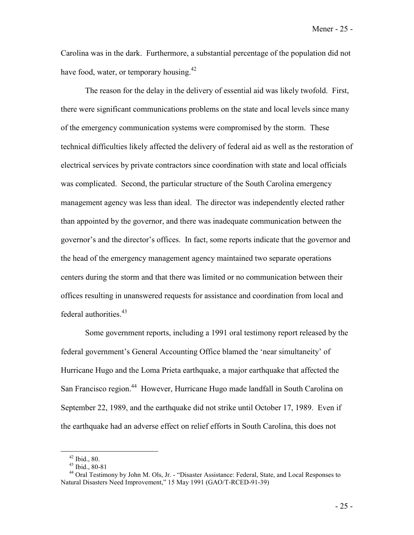Mener - 25 -

Carolina was in the dark. Furthermore, a substantial percentage of the population did not have food, water, or temporary housing.<sup>42</sup>

The reason for the delay in the delivery of essential aid was likely twofold. First, there were significant communications problems on the state and local levels since many of the emergency communication systems were compromised by the storm. These technical difficulties likely affected the delivery of federal aid as well as the restoration of electrical services by private contractors since coordination with state and local officials was complicated. Second, the particular structure of the South Carolina emergency management agency was less than ideal. The director was independently elected rather than appointed by the governor, and there was inadequate communication between the governor's and the director's offices. In fact, some reports indicate that the governor and the head of the emergency management agency maintained two separate operations centers during the storm and that there was limited or no communication between their offices resulting in unanswered requests for assistance and coordination from local and federal authorities.<sup>43</sup>

Some government reports, including a 1991 oral testimony report released by the federal government's General Accounting Office blamed the 'near simultaneity' of Hurricane Hugo and the Loma Prieta earthquake, a major earthquake that affected the San Francisco region.<sup>44</sup> However, Hurricane Hugo made landfall in South Carolina on September 22, 1989, and the earthquake did not strike until October 17, 1989. Even if the earthquake had an adverse effect on relief efforts in South Carolina, this does not

 $42$  Ibid., 80.

<sup>43</sup> Ibid., 80-81

<sup>&</sup>lt;sup>44</sup> Oral Testimony by John M. Ols, Jr. - "Disaster Assistance: Federal, State, and Local Responses to Natural Disasters Need Improvement," 15 May 1991 (GAO/T-RCED-91-39)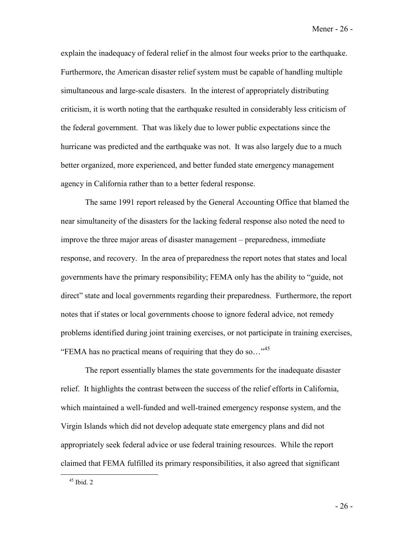Mener - 26 -

explain the inadequacy of federal relief in the almost four weeks prior to the earthquake. Furthermore, the American disaster relief system must be capable of handling multiple simultaneous and large-scale disasters. In the interest of appropriately distributing criticism, it is worth noting that the earthquake resulted in considerably less criticism of the federal government. That was likely due to lower public expectations since the hurricane was predicted and the earthquake was not. It was also largely due to a much better organized, more experienced, and better funded state emergency management agency in California rather than to a better federal response.

 The same 1991 report released by the General Accounting Office that blamed the near simultaneity of the disasters for the lacking federal response also noted the need to improve the three major areas of disaster management – preparedness, immediate response, and recovery. In the area of preparedness the report notes that states and local governments have the primary responsibility; FEMA only has the ability to "guide, not direct" state and local governments regarding their preparedness. Furthermore, the report notes that if states or local governments choose to ignore federal advice, not remedy problems identified during joint training exercises, or not participate in training exercises, "FEMA has no practical means of requiring that they do so..."<sup>45</sup>

The report essentially blames the state governments for the inadequate disaster relief. It highlights the contrast between the success of the relief efforts in California, which maintained a well-funded and well-trained emergency response system, and the Virgin Islands which did not develop adequate state emergency plans and did not appropriately seek federal advice or use federal training resources. While the report claimed that FEMA fulfilled its primary responsibilities, it also agreed that significant

 $45$  Ibid. 2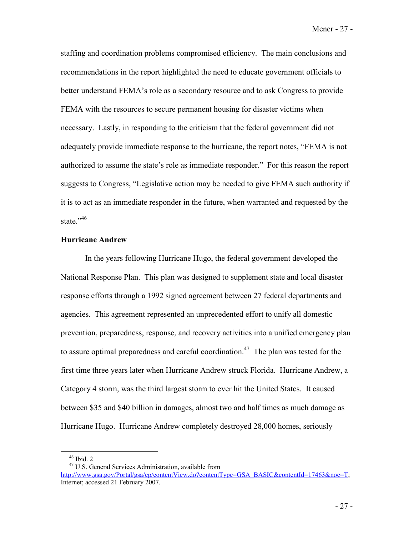Mener - 27 -

staffing and coordination problems compromised efficiency. The main conclusions and recommendations in the report highlighted the need to educate government officials to better understand FEMA's role as a secondary resource and to ask Congress to provide FEMA with the resources to secure permanent housing for disaster victims when necessary. Lastly, in responding to the criticism that the federal government did not adequately provide immediate response to the hurricane, the report notes, "FEMA is not authorized to assume the state's role as immediate responder." For this reason the report suggests to Congress, "Legislative action may be needed to give FEMA such authority if it is to act as an immediate responder in the future, when warranted and requested by the state."<sup>46</sup>

### **Hurricane Andrew**

 In the years following Hurricane Hugo, the federal government developed the National Response Plan. This plan was designed to supplement state and local disaster response efforts through a 1992 signed agreement between 27 federal departments and agencies. This agreement represented an unprecedented effort to unify all domestic prevention, preparedness, response, and recovery activities into a unified emergency plan to assure optimal preparedness and careful coordination.<sup>47</sup> The plan was tested for the first time three years later when Hurricane Andrew struck Florida. Hurricane Andrew, a Category 4 storm, was the third largest storm to ever hit the United States. It caused between \$35 and \$40 billion in damages, almost two and half times as much damage as Hurricane Hugo. Hurricane Andrew completely destroyed 28,000 homes, seriously

 $46$  Ibid. 2

<sup>47</sup> U.S. General Services Administration, available from http://www.gsa.gov/Portal/gsa/ep/contentView.do?contentType=GSA\_BASIC&contentId=17463&noc=T; Internet; accessed 21 February 2007.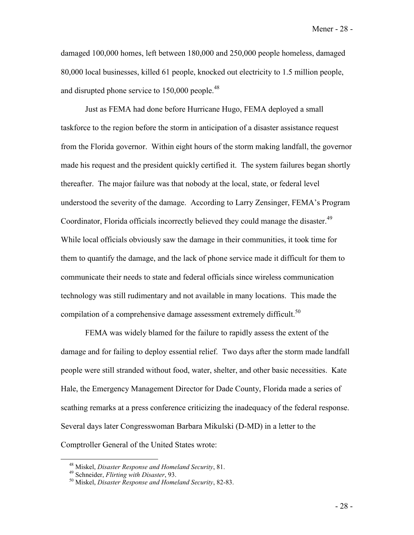Mener - 28 -

damaged 100,000 homes, left between 180,000 and 250,000 people homeless, damaged 80,000 local businesses, killed 61 people, knocked out electricity to 1.5 million people, and disrupted phone service to  $150,000$  people.<sup>48</sup>

Just as FEMA had done before Hurricane Hugo, FEMA deployed a small taskforce to the region before the storm in anticipation of a disaster assistance request from the Florida governor. Within eight hours of the storm making landfall, the governor made his request and the president quickly certified it. The system failures began shortly thereafter. The major failure was that nobody at the local, state, or federal level understood the severity of the damage. According to Larry Zensinger, FEMA's Program Coordinator, Florida officials incorrectly believed they could manage the disaster.<sup>49</sup> While local officials obviously saw the damage in their communities, it took time for them to quantify the damage, and the lack of phone service made it difficult for them to communicate their needs to state and federal officials since wireless communication technology was still rudimentary and not available in many locations. This made the compilation of a comprehensive damage assessment extremely difficult.<sup>50</sup>

FEMA was widely blamed for the failure to rapidly assess the extent of the damage and for failing to deploy essential relief. Two days after the storm made landfall people were still stranded without food, water, shelter, and other basic necessities. Kate Hale, the Emergency Management Director for Dade County, Florida made a series of scathing remarks at a press conference criticizing the inadequacy of the federal response. Several days later Congresswoman Barbara Mikulski (D-MD) in a letter to the Comptroller General of the United States wrote:

<sup>48</sup> Miskel, *Disaster Response and Homeland Security*, 81. 49 Schneider, *Flirting with Disaster*, 93. 50 Miskel, *Disaster Response and Homeland Security*, 82-83.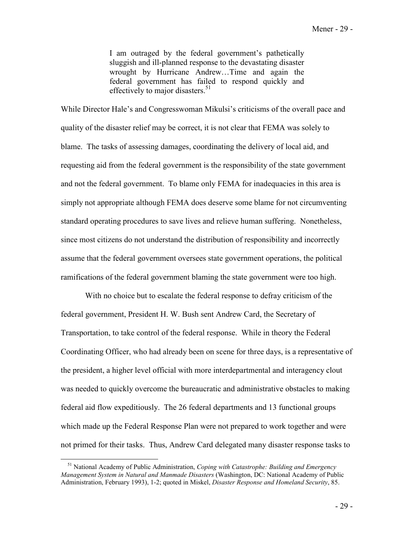I am outraged by the federal government's pathetically sluggish and ill-planned response to the devastating disaster wrought by Hurricane Andrew…Time and again the federal government has failed to respond quickly and effectively to major disasters.<sup>51</sup>

While Director Hale's and Congresswoman Mikulsi's criticisms of the overall pace and quality of the disaster relief may be correct, it is not clear that FEMA was solely to blame. The tasks of assessing damages, coordinating the delivery of local aid, and requesting aid from the federal government is the responsibility of the state government and not the federal government. To blame only FEMA for inadequacies in this area is simply not appropriate although FEMA does deserve some blame for not circumventing standard operating procedures to save lives and relieve human suffering. Nonetheless, since most citizens do not understand the distribution of responsibility and incorrectly assume that the federal government oversees state government operations, the political ramifications of the federal government blaming the state government were too high.

 With no choice but to escalate the federal response to defray criticism of the federal government, President H. W. Bush sent Andrew Card, the Secretary of Transportation, to take control of the federal response. While in theory the Federal Coordinating Officer, who had already been on scene for three days, is a representative of the president, a higher level official with more interdepartmental and interagency clout was needed to quickly overcome the bureaucratic and administrative obstacles to making federal aid flow expeditiously. The 26 federal departments and 13 functional groups which made up the Federal Response Plan were not prepared to work together and were not primed for their tasks. Thus, Andrew Card delegated many disaster response tasks to

<sup>51</sup> National Academy of Public Administration, *Coping with Catastrophe: Building and Emergency Management System in Natural and Manmade Disasters* (Washington, DC: National Academy of Public Administration, February 1993), 1-2; quoted in Miskel, *Disaster Response and Homeland Security*, 85.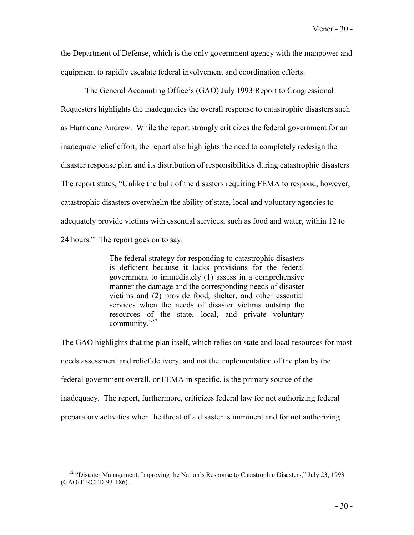the Department of Defense, which is the only government agency with the manpower and equipment to rapidly escalate federal involvement and coordination efforts.

 The General Accounting Office's (GAO) July 1993 Report to Congressional Requesters highlights the inadequacies the overall response to catastrophic disasters such as Hurricane Andrew. While the report strongly criticizes the federal government for an inadequate relief effort, the report also highlights the need to completely redesign the disaster response plan and its distribution of responsibilities during catastrophic disasters. The report states, "Unlike the bulk of the disasters requiring FEMA to respond, however, catastrophic disasters overwhelm the ability of state, local and voluntary agencies to adequately provide victims with essential services, such as food and water, within 12 to 24 hours." The report goes on to say:

> The federal strategy for responding to catastrophic disasters is deficient because it lacks provisions for the federal government to immediately (1) assess in a comprehensive manner the damage and the corresponding needs of disaster victims and (2) provide food, shelter, and other essential services when the needs of disaster victims outstrip the resources of the state, local, and private voluntary community."<sup>52</sup>

The GAO highlights that the plan itself, which relies on state and local resources for most needs assessment and relief delivery, and not the implementation of the plan by the federal government overall, or FEMA in specific, is the primary source of the inadequacy. The report, furthermore, criticizes federal law for not authorizing federal preparatory activities when the threat of a disaster is imminent and for not authorizing

 $52$  "Disaster Management: Improving the Nation's Response to Catastrophic Disasters," July 23, 1993 (GAO/T-RCED-93-186).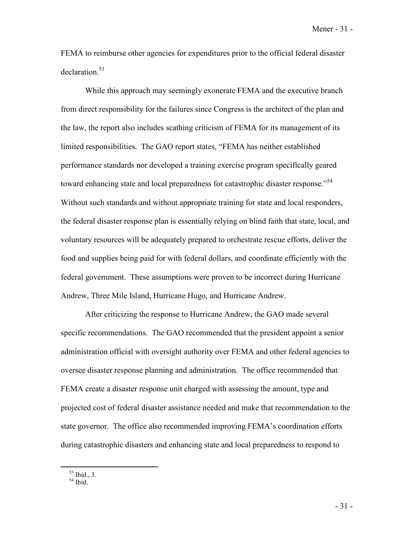Mener - 31 -

FEMA to reimburse other agencies for expenditures prior to the official federal disaster declaration<sup>53</sup>

While this approach may seemingly exonerate FEMA and the executive branch from direct responsibility for the failures since Congress is the architect of the plan and the law, the report also includes scathing criticism of FEMA for its management of its limited responsibilities. The GAO report states, "FEMA has neither established performance standards nor developed a training exercise program specifically geared toward enhancing state and local preparedness for catastrophic disaster response.<sup>54</sup> Without such standards and without appropriate training for state and local responders, the federal disaster response plan is essentially relying on blind faith that state, local, and voluntary resources will be adequately prepared to orchestrate rescue efforts, deliver the food and supplies being paid for with federal dollars, and coordinate efficiently with the federal government. These assumptions were proven to be incorrect during Hurricane Andrew, Three Mile Island, Hurricane Hugo, and Hurricane Andrew.

 After criticizing the response to Hurricane Andrew, the GAO made several specific recommendations. The GAO recommended that the president appoint a senior administration official with oversight authority over FEMA and other federal agencies to oversee disaster response planning and administration. The office recommended that FEMA create a disaster response unit charged with assessing the amount, type and projected cost of federal disaster assistance needed and make that recommendation to the state governor. The office also recommended improving FEMA's coordination efforts during catastrophic disasters and enhancing state and local preparedness to respond to

<sup>53</sup> Ibid., 3.

 $54$  Ibid.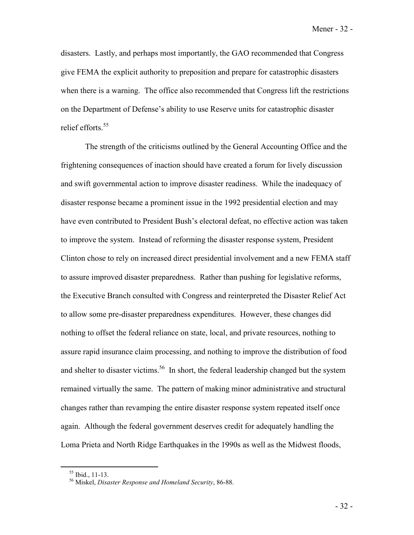Mener - 32 -

disasters. Lastly, and perhaps most importantly, the GAO recommended that Congress give FEMA the explicit authority to preposition and prepare for catastrophic disasters when there is a warning. The office also recommended that Congress lift the restrictions on the Department of Defense's ability to use Reserve units for catastrophic disaster relief efforts.<sup>55</sup>

The strength of the criticisms outlined by the General Accounting Office and the frightening consequences of inaction should have created a forum for lively discussion and swift governmental action to improve disaster readiness. While the inadequacy of disaster response became a prominent issue in the 1992 presidential election and may have even contributed to President Bush's electoral defeat, no effective action was taken to improve the system. Instead of reforming the disaster response system, President Clinton chose to rely on increased direct presidential involvement and a new FEMA staff to assure improved disaster preparedness. Rather than pushing for legislative reforms, the Executive Branch consulted with Congress and reinterpreted the Disaster Relief Act to allow some pre-disaster preparedness expenditures. However, these changes did nothing to offset the federal reliance on state, local, and private resources, nothing to assure rapid insurance claim processing, and nothing to improve the distribution of food and shelter to disaster victims.<sup>56</sup> In short, the federal leadership changed but the system remained virtually the same. The pattern of making minor administrative and structural changes rather than revamping the entire disaster response system repeated itself once again. Although the federal government deserves credit for adequately handling the Loma Prieta and North Ridge Earthquakes in the 1990s as well as the Midwest floods,

 $55$  Ibid., 11-13.

<sup>56</sup> Miskel, *Disaster Response and Homeland Security*, 86-88.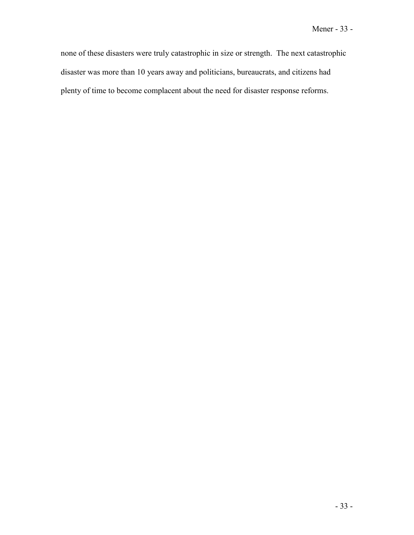none of these disasters were truly catastrophic in size or strength. The next catastrophic disaster was more than 10 years away and politicians, bureaucrats, and citizens had plenty of time to become complacent about the need for disaster response reforms.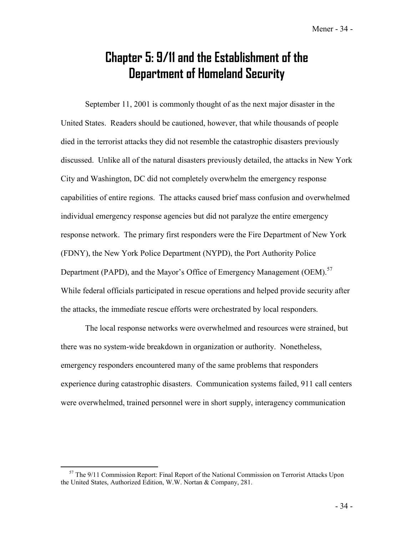## **Chapter 5: 9/11 and the Establishment of the Department of Homeland Security**

September 11, 2001 is commonly thought of as the next major disaster in the United States. Readers should be cautioned, however, that while thousands of people died in the terrorist attacks they did not resemble the catastrophic disasters previously discussed. Unlike all of the natural disasters previously detailed, the attacks in New York City and Washington, DC did not completely overwhelm the emergency response capabilities of entire regions. The attacks caused brief mass confusion and overwhelmed individual emergency response agencies but did not paralyze the entire emergency response network. The primary first responders were the Fire Department of New York (FDNY), the New York Police Department (NYPD), the Port Authority Police Department (PAPD), and the Mayor's Office of Emergency Management (OEM).<sup>57</sup> While federal officials participated in rescue operations and helped provide security after the attacks, the immediate rescue efforts were orchestrated by local responders.

 The local response networks were overwhelmed and resources were strained, but there was no system-wide breakdown in organization or authority. Nonetheless, emergency responders encountered many of the same problems that responders experience during catastrophic disasters. Communication systems failed, 911 call centers were overwhelmed, trained personnel were in short supply, interagency communication

 $57$  The 9/11 Commission Report: Final Report of the National Commission on Terrorist Attacks Upon the United States, Authorized Edition, W.W. Nortan & Company, 281.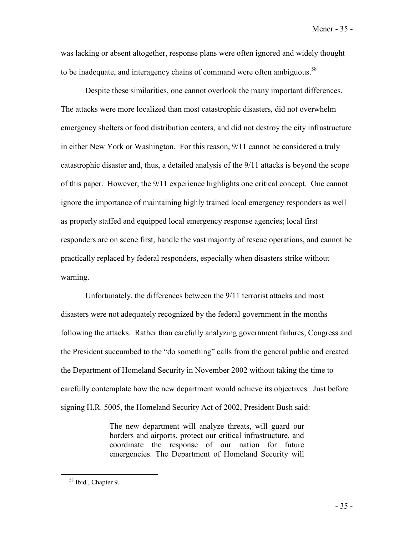Mener - 35 -

was lacking or absent altogether, response plans were often ignored and widely thought to be inadequate, and interagency chains of command were often ambiguous.<sup>58</sup>

Despite these similarities, one cannot overlook the many important differences. The attacks were more localized than most catastrophic disasters, did not overwhelm emergency shelters or food distribution centers, and did not destroy the city infrastructure in either New York or Washington. For this reason, 9/11 cannot be considered a truly catastrophic disaster and, thus, a detailed analysis of the 9/11 attacks is beyond the scope of this paper. However, the 9/11 experience highlights one critical concept. One cannot ignore the importance of maintaining highly trained local emergency responders as well as properly staffed and equipped local emergency response agencies; local first responders are on scene first, handle the vast majority of rescue operations, and cannot be practically replaced by federal responders, especially when disasters strike without warning.

 Unfortunately, the differences between the 9/11 terrorist attacks and most disasters were not adequately recognized by the federal government in the months following the attacks. Rather than carefully analyzing government failures, Congress and the President succumbed to the "do something" calls from the general public and created the Department of Homeland Security in November 2002 without taking the time to carefully contemplate how the new department would achieve its objectives. Just before signing H.R. 5005, the Homeland Security Act of 2002, President Bush said:

> The new department will analyze threats, will guard our borders and airports, protect our critical infrastructure, and coordinate the response of our nation for future emergencies. The Department of Homeland Security will

<sup>58</sup> Ibid., Chapter 9.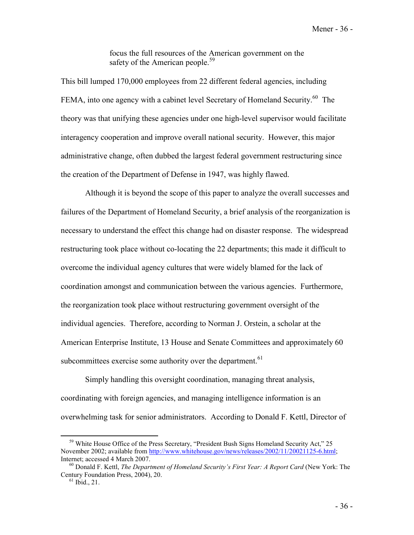focus the full resources of the American government on the safety of the American people.<sup>59</sup>

This bill lumped 170,000 employees from 22 different federal agencies, including FEMA, into one agency with a cabinet level Secretary of Homeland Security.<sup>60</sup> The theory was that unifying these agencies under one high-level supervisor would facilitate interagency cooperation and improve overall national security. However, this major administrative change, often dubbed the largest federal government restructuring since the creation of the Department of Defense in 1947, was highly flawed.

 Although it is beyond the scope of this paper to analyze the overall successes and failures of the Department of Homeland Security, a brief analysis of the reorganization is necessary to understand the effect this change had on disaster response. The widespread restructuring took place without co-locating the 22 departments; this made it difficult to overcome the individual agency cultures that were widely blamed for the lack of coordination amongst and communication between the various agencies. Furthermore, the reorganization took place without restructuring government oversight of the individual agencies. Therefore, according to Norman J. Orstein, a scholar at the American Enterprise Institute, 13 House and Senate Committees and approximately 60 subcommittees exercise some authority over the department.<sup>61</sup>

Simply handling this oversight coordination, managing threat analysis, coordinating with foreign agencies, and managing intelligence information is an overwhelming task for senior administrators. According to Donald F. Kettl, Director of

<sup>&</sup>lt;sup>59</sup> White House Office of the Press Secretary, "President Bush Signs Homeland Security Act," 25 November 2002; available from http://www.whitehouse.gov/news/releases/2002/11/20021125-6.html; Internet; accessed 4 March 2007.<br><sup>60</sup> Donald F. Kettl, *The Department of Homeland Security's First Year: A Report Card* (New York: The

Century Foundation Press, 2004), 20.  $61$  Ibid., 21.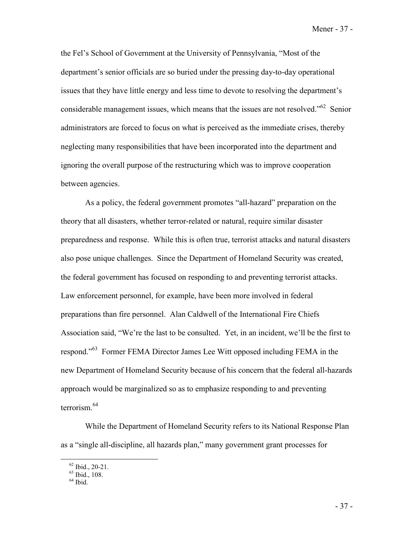Mener - 37 -

the Fel's School of Government at the University of Pennsylvania, "Most of the department's senior officials are so buried under the pressing day-to-day operational issues that they have little energy and less time to devote to resolving the department's considerable management issues, which means that the issues are not resolved.<sup> $10^{62}$ </sup> Senior administrators are forced to focus on what is perceived as the immediate crises, thereby neglecting many responsibilities that have been incorporated into the department and ignoring the overall purpose of the restructuring which was to improve cooperation between agencies.

 As a policy, the federal government promotes "all-hazard" preparation on the theory that all disasters, whether terror-related or natural, require similar disaster preparedness and response. While this is often true, terrorist attacks and natural disasters also pose unique challenges. Since the Department of Homeland Security was created, the federal government has focused on responding to and preventing terrorist attacks. Law enforcement personnel, for example, have been more involved in federal preparations than fire personnel. Alan Caldwell of the International Fire Chiefs Association said, "We're the last to be consulted. Yet, in an incident, we'll be the first to respond."<sup>63</sup> Former FEMA Director James Lee Witt opposed including FEMA in the new Department of Homeland Security because of his concern that the federal all-hazards approach would be marginalized so as to emphasize responding to and preventing terrorism.<sup>64</sup>

While the Department of Homeland Security refers to its National Response Plan as a "single all-discipline, all hazards plan," many government grant processes for

 $62$  Ibid., 20-21.

 $63$  Ibid., 108.

 $64$  Ibid.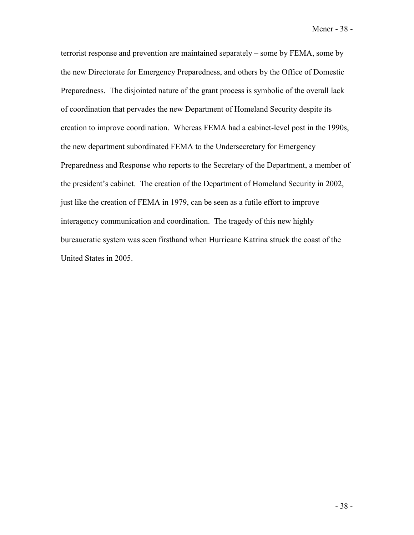Mener - 38 -

terrorist response and prevention are maintained separately – some by FEMA, some by the new Directorate for Emergency Preparedness, and others by the Office of Domestic Preparedness. The disjointed nature of the grant process is symbolic of the overall lack of coordination that pervades the new Department of Homeland Security despite its creation to improve coordination. Whereas FEMA had a cabinet-level post in the 1990s, the new department subordinated FEMA to the Undersecretary for Emergency Preparedness and Response who reports to the Secretary of the Department, a member of the president's cabinet. The creation of the Department of Homeland Security in 2002, just like the creation of FEMA in 1979, can be seen as a futile effort to improve interagency communication and coordination. The tragedy of this new highly bureaucratic system was seen firsthand when Hurricane Katrina struck the coast of the United States in 2005.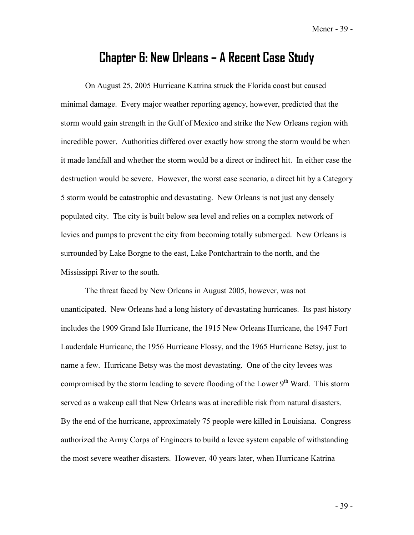Mener - 39 -

## **Chapter 6: New Orleans – A Recent Case Study**

On August 25, 2005 Hurricane Katrina struck the Florida coast but caused minimal damage. Every major weather reporting agency, however, predicted that the storm would gain strength in the Gulf of Mexico and strike the New Orleans region with incredible power. Authorities differed over exactly how strong the storm would be when it made landfall and whether the storm would be a direct or indirect hit. In either case the destruction would be severe. However, the worst case scenario, a direct hit by a Category 5 storm would be catastrophic and devastating. New Orleans is not just any densely populated city. The city is built below sea level and relies on a complex network of levies and pumps to prevent the city from becoming totally submerged. New Orleans is surrounded by Lake Borgne to the east, Lake Pontchartrain to the north, and the Mississippi River to the south.

 The threat faced by New Orleans in August 2005, however, was not unanticipated. New Orleans had a long history of devastating hurricanes. Its past history includes the 1909 Grand Isle Hurricane, the 1915 New Orleans Hurricane, the 1947 Fort Lauderdale Hurricane, the 1956 Hurricane Flossy, and the 1965 Hurricane Betsy, just to name a few. Hurricane Betsy was the most devastating. One of the city levees was compromised by the storm leading to severe flooding of the Lower  $9<sup>th</sup>$  Ward. This storm served as a wakeup call that New Orleans was at incredible risk from natural disasters. By the end of the hurricane, approximately 75 people were killed in Louisiana. Congress authorized the Army Corps of Engineers to build a levee system capable of withstanding the most severe weather disasters. However, 40 years later, when Hurricane Katrina

- 39 -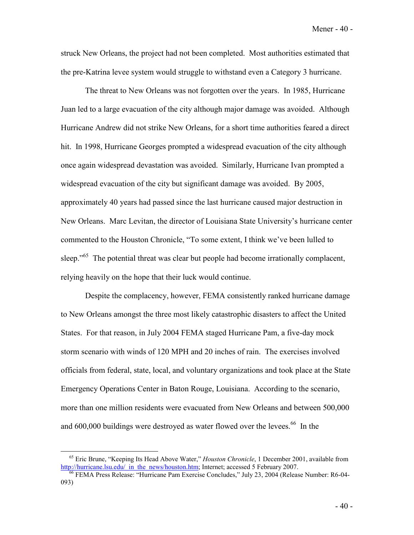Mener - 40 -

struck New Orleans, the project had not been completed. Most authorities estimated that the pre-Katrina levee system would struggle to withstand even a Category 3 hurricane.

 The threat to New Orleans was not forgotten over the years. In 1985, Hurricane Juan led to a large evacuation of the city although major damage was avoided. Although Hurricane Andrew did not strike New Orleans, for a short time authorities feared a direct hit. In 1998, Hurricane Georges prompted a widespread evacuation of the city although once again widespread devastation was avoided. Similarly, Hurricane Ivan prompted a widespread evacuation of the city but significant damage was avoided. By 2005, approximately 40 years had passed since the last hurricane caused major destruction in New Orleans. Marc Levitan, the director of Louisiana State University's hurricane center commented to the Houston Chronicle, "To some extent, I think we've been lulled to sleep."<sup>65</sup> The potential threat was clear but people had become irrationally complacent, relying heavily on the hope that their luck would continue.

 Despite the complacency, however, FEMA consistently ranked hurricane damage to New Orleans amongst the three most likely catastrophic disasters to affect the United States. For that reason, in July 2004 FEMA staged Hurricane Pam, a five-day mock storm scenario with winds of 120 MPH and 20 inches of rain. The exercises involved officials from federal, state, local, and voluntary organizations and took place at the State Emergency Operations Center in Baton Rouge, Louisiana. According to the scenario, more than one million residents were evacuated from New Orleans and between 500,000 and  $600,000$  buildings were destroyed as water flowed over the levees.<sup> $66$ </sup> In the

<sup>&</sup>lt;sup>65</sup> Eric Brune, "Keeping Its Head Above Water," *Houston Chronicle*, 1 December 2001, available from http://hurricane.lsu.edu/ in the news/houston.htm; Internet; accessed 5 February 2007.

<sup>&</sup>lt;sup>66</sup> FEMA Press Release: "Hurricane Pam Exercise Concludes," July 23, 2004 (Release Number: R6-04-093)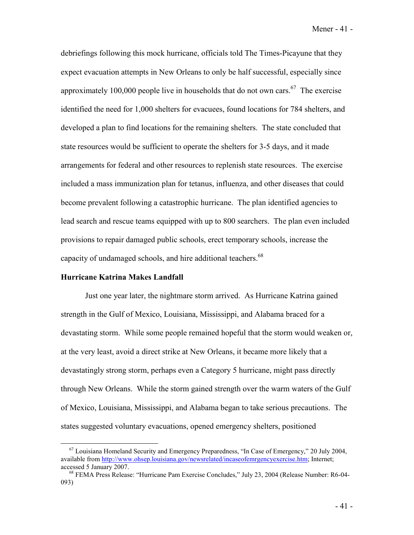Mener - 41 -

debriefings following this mock hurricane, officials told The Times-Picayune that they expect evacuation attempts in New Orleans to only be half successful, especially since approximately 100,000 people live in households that do not own cars.<sup>67</sup> The exercise identified the need for 1,000 shelters for evacuees, found locations for 784 shelters, and developed a plan to find locations for the remaining shelters. The state concluded that state resources would be sufficient to operate the shelters for 3-5 days, and it made arrangements for federal and other resources to replenish state resources. The exercise included a mass immunization plan for tetanus, influenza, and other diseases that could become prevalent following a catastrophic hurricane. The plan identified agencies to lead search and rescue teams equipped with up to 800 searchers. The plan even included provisions to repair damaged public schools, erect temporary schools, increase the capacity of undamaged schools, and hire additional teachers.<sup>68</sup>

### **Hurricane Katrina Makes Landfall**

 Just one year later, the nightmare storm arrived. As Hurricane Katrina gained strength in the Gulf of Mexico, Louisiana, Mississippi, and Alabama braced for a devastating storm. While some people remained hopeful that the storm would weaken or, at the very least, avoid a direct strike at New Orleans, it became more likely that a devastatingly strong storm, perhaps even a Category 5 hurricane, might pass directly through New Orleans. While the storm gained strength over the warm waters of the Gulf of Mexico, Louisiana, Mississippi, and Alabama began to take serious precautions. The states suggested voluntary evacuations, opened emergency shelters, positioned

<sup>67</sup> Louisiana Homeland Security and Emergency Preparedness, "In Case of Emergency," 20 July 2004, available from http://www.ohsep.louisiana.gov/newsrelated/incaseofemrgencyexercise.htm; Internet; accessed 5 January 2007.<br><sup>68</sup> FEMA Press Release: "Hurricane Pam Exercise Concludes," July 23, 2004 (Release Number: R6-04-

<sup>093)</sup>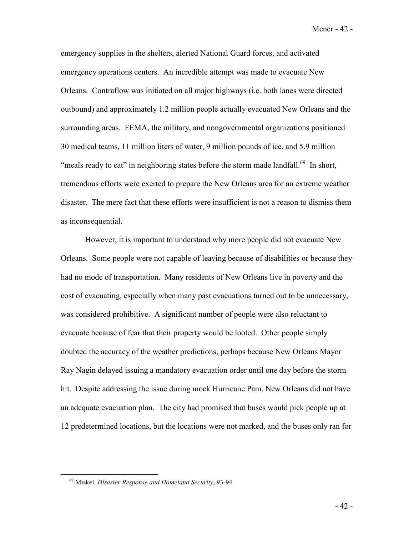Mener - 42 -

emergency supplies in the shelters, alerted National Guard forces, and activated emergency operations centers. An incredible attempt was made to evacuate New Orleans. Contraflow was initiated on all major highways (i.e. both lanes were directed outbound) and approximately 1.2 million people actually evacuated New Orleans and the surrounding areas. FEMA, the military, and nongovernmental organizations positioned 30 medical teams, 11 million liters of water, 9 million pounds of ice, and 5.9 million "meals ready to eat" in neighboring states before the storm made landfall.<sup>69</sup> In short, tremendous efforts were exerted to prepare the New Orleans area for an extreme weather disaster. The mere fact that these efforts were insufficient is not a reason to dismiss them as inconsequential.

 However, it is important to understand why more people did not evacuate New Orleans. Some people were not capable of leaving because of disabilities or because they had no mode of transportation. Many residents of New Orleans live in poverty and the cost of evacuating, especially when many past evacuations turned out to be unnecessary, was considered prohibitive. A significant number of people were also reluctant to evacuate because of fear that their property would be looted. Other people simply doubted the accuracy of the weather predictions, perhaps because New Orleans Mayor Ray Nagin delayed issuing a mandatory evacuation order until one day before the storm hit. Despite addressing the issue during mock Hurricane Pam, New Orleans did not have an adequate evacuation plan. The city had promised that buses would pick people up at 12 predetermined locations, but the locations were not marked, and the buses only ran for

<sup>69</sup> Miskel, *Disaster Response and Homeland Security*, 93-94.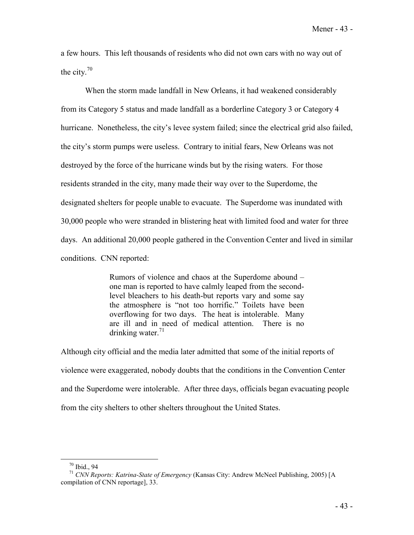a few hours. This left thousands of residents who did not own cars with no way out of the city. $70$ 

When the storm made landfall in New Orleans, it had weakened considerably from its Category 5 status and made landfall as a borderline Category 3 or Category 4 hurricane. Nonetheless, the city's levee system failed; since the electrical grid also failed, the city's storm pumps were useless. Contrary to initial fears, New Orleans was not destroyed by the force of the hurricane winds but by the rising waters. For those residents stranded in the city, many made their way over to the Superdome, the designated shelters for people unable to evacuate. The Superdome was inundated with 30,000 people who were stranded in blistering heat with limited food and water for three days. An additional 20,000 people gathered in the Convention Center and lived in similar conditions. CNN reported:

> Rumors of violence and chaos at the Superdome abound – one man is reported to have calmly leaped from the secondlevel bleachers to his death-but reports vary and some say the atmosphere is "not too horrific." Toilets have been overflowing for two days. The heat is intolerable. Many are ill and in need of medical attention. There is no drinking water. $71$

Although city official and the media later admitted that some of the initial reports of violence were exaggerated, nobody doubts that the conditions in the Convention Center and the Superdome were intolerable. After three days, officials began evacuating people from the city shelters to other shelters throughout the United States.

<sup>70</sup> Ibid., 94

<sup>71</sup> *CNN Reports: Katrina-State of Emergency* (Kansas City: Andrew McNeel Publishing, 2005) [A compilation of CNN reportage], 33.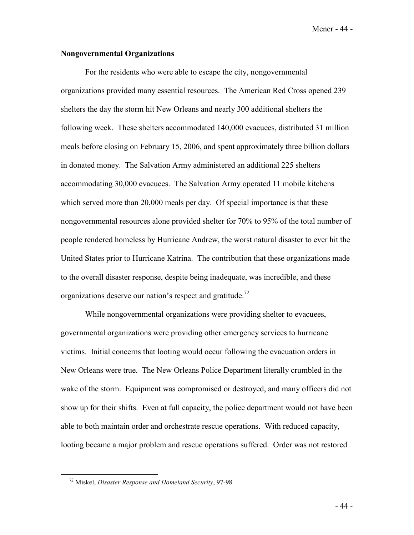Mener - 44 -

### **Nongovernmental Organizations**

 For the residents who were able to escape the city, nongovernmental organizations provided many essential resources. The American Red Cross opened 239 shelters the day the storm hit New Orleans and nearly 300 additional shelters the following week. These shelters accommodated 140,000 evacuees, distributed 31 million meals before closing on February 15, 2006, and spent approximately three billion dollars in donated money. The Salvation Army administered an additional 225 shelters accommodating 30,000 evacuees. The Salvation Army operated 11 mobile kitchens which served more than 20,000 meals per day. Of special importance is that these nongovernmental resources alone provided shelter for 70% to 95% of the total number of people rendered homeless by Hurricane Andrew, the worst natural disaster to ever hit the United States prior to Hurricane Katrina. The contribution that these organizations made to the overall disaster response, despite being inadequate, was incredible, and these organizations deserve our nation's respect and gratitude.<sup>72</sup>

While nongovernmental organizations were providing shelter to evacuees, governmental organizations were providing other emergency services to hurricane victims. Initial concerns that looting would occur following the evacuation orders in New Orleans were true. The New Orleans Police Department literally crumbled in the wake of the storm. Equipment was compromised or destroyed, and many officers did not show up for their shifts. Even at full capacity, the police department would not have been able to both maintain order and orchestrate rescue operations. With reduced capacity, looting became a major problem and rescue operations suffered. Order was not restored

<sup>72</sup> Miskel, *Disaster Response and Homeland Security*, 97-98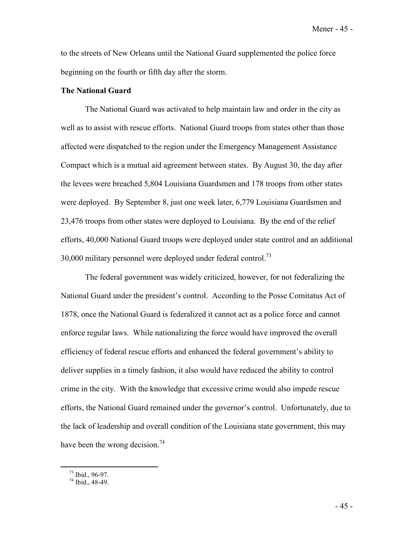Mener - 45 -

to the streets of New Orleans until the National Guard supplemented the police force beginning on the fourth or fifth day after the storm.

### **The National Guard**

 The National Guard was activated to help maintain law and order in the city as well as to assist with rescue efforts. National Guard troops from states other than those affected were dispatched to the region under the Emergency Management Assistance Compact which is a mutual aid agreement between states. By August 30, the day after the levees were breached 5,804 Louisiana Guardsmen and 178 troops from other states were deployed. By September 8, just one week later, 6,779 Louisiana Guardsmen and 23,476 troops from other states were deployed to Louisiana. By the end of the relief efforts, 40,000 National Guard troops were deployed under state control and an additional  $30,000$  military personnel were deployed under federal control.<sup>73</sup>

The federal government was widely criticized, however, for not federalizing the National Guard under the president's control. According to the Posse Comitatus Act of 1878, once the National Guard is federalized it cannot act as a police force and cannot enforce regular laws. While nationalizing the force would have improved the overall efficiency of federal rescue efforts and enhanced the federal government's ability to deliver supplies in a timely fashion, it also would have reduced the ability to control crime in the city. With the knowledge that excessive crime would also impede rescue efforts, the National Guard remained under the governor's control. Unfortunately, due to the lack of leadership and overall condition of the Louisiana state government, this may have been the wrong decision.<sup>74</sup>

- 45 -

 $^{73}$  Ibid., 96-97.

 $74$  Ibid., 48-49.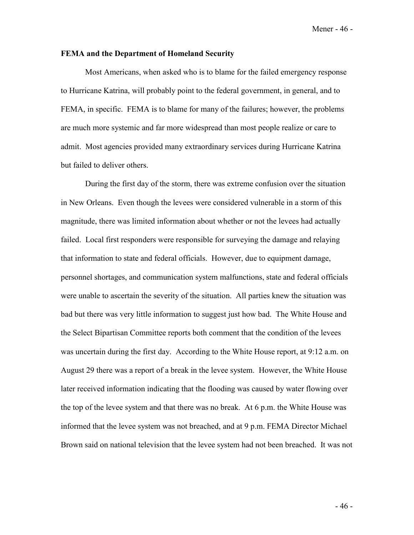### **FEMA and the Department of Homeland Security**

 Most Americans, when asked who is to blame for the failed emergency response to Hurricane Katrina, will probably point to the federal government, in general, and to FEMA, in specific. FEMA is to blame for many of the failures; however, the problems are much more systemic and far more widespread than most people realize or care to admit. Most agencies provided many extraordinary services during Hurricane Katrina but failed to deliver others.

 During the first day of the storm, there was extreme confusion over the situation in New Orleans. Even though the levees were considered vulnerable in a storm of this magnitude, there was limited information about whether or not the levees had actually failed. Local first responders were responsible for surveying the damage and relaying that information to state and federal officials. However, due to equipment damage, personnel shortages, and communication system malfunctions, state and federal officials were unable to ascertain the severity of the situation. All parties knew the situation was bad but there was very little information to suggest just how bad. The White House and the Select Bipartisan Committee reports both comment that the condition of the levees was uncertain during the first day. According to the White House report, at 9:12 a.m. on August 29 there was a report of a break in the levee system. However, the White House later received information indicating that the flooding was caused by water flowing over the top of the levee system and that there was no break. At 6 p.m. the White House was informed that the levee system was not breached, and at 9 p.m. FEMA Director Michael Brown said on national television that the levee system had not been breached. It was not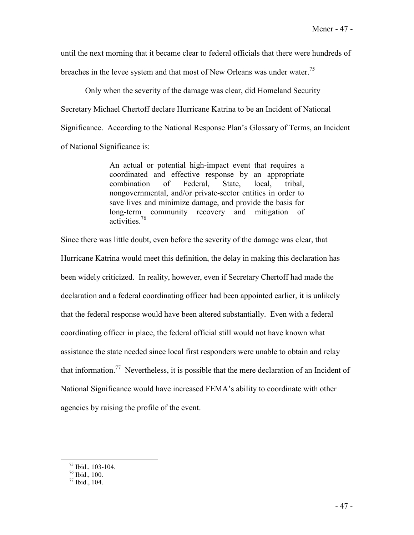until the next morning that it became clear to federal officials that there were hundreds of breaches in the levee system and that most of New Orleans was under water.<sup>75</sup>

Only when the severity of the damage was clear, did Homeland Security Secretary Michael Chertoff declare Hurricane Katrina to be an Incident of National Significance. According to the National Response Plan's Glossary of Terms, an Incident of National Significance is:

> An actual or potential high-impact event that requires a coordinated and effective response by an appropriate combination of Federal, State, local, tribal, nongovernmental, and/or private-sector entities in order to save lives and minimize damage, and provide the basis for long-term community recovery and mitigation of activities.76

Since there was little doubt, even before the severity of the damage was clear, that Hurricane Katrina would meet this definition, the delay in making this declaration has been widely criticized. In reality, however, even if Secretary Chertoff had made the declaration and a federal coordinating officer had been appointed earlier, it is unlikely that the federal response would have been altered substantially. Even with a federal coordinating officer in place, the federal official still would not have known what assistance the state needed since local first responders were unable to obtain and relay that information.<sup>77</sup> Nevertheless, it is possible that the mere declaration of an Incident of National Significance would have increased FEMA's ability to coordinate with other agencies by raising the profile of the event.

<sup>75</sup> Ibid., 103-104.

 $76$  Ibid., 100.

 $77$  Ibid., 104.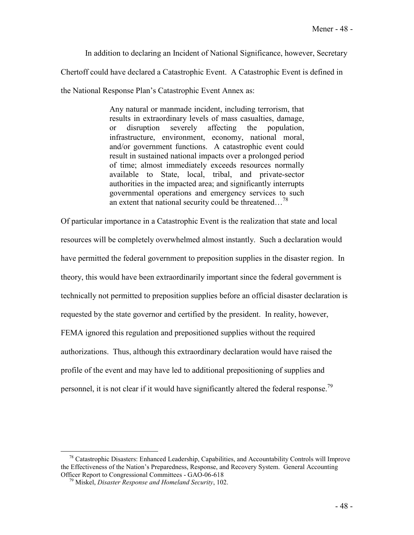In addition to declaring an Incident of National Significance, however, Secretary

Chertoff could have declared a Catastrophic Event. A Catastrophic Event is defined in

the National Response Plan's Catastrophic Event Annex as:

Any natural or manmade incident, including terrorism, that results in extraordinary levels of mass casualties, damage, or disruption severely affecting the population, infrastructure, environment, economy, national moral, and/or government functions. A catastrophic event could result in sustained national impacts over a prolonged period of time; almost immediately exceeds resources normally available to State, local, tribal, and private-sector authorities in the impacted area; and significantly interrupts governmental operations and emergency services to such an extent that national security could be threatened…78

Of particular importance in a Catastrophic Event is the realization that state and local resources will be completely overwhelmed almost instantly. Such a declaration would have permitted the federal government to preposition supplies in the disaster region. In theory, this would have been extraordinarily important since the federal government is technically not permitted to preposition supplies before an official disaster declaration is requested by the state governor and certified by the president. In reality, however, FEMA ignored this regulation and prepositioned supplies without the required authorizations. Thus, although this extraordinary declaration would have raised the profile of the event and may have led to additional prepositioning of supplies and personnel, it is not clear if it would have significantly altered the federal response.<sup>79</sup>

<sup>&</sup>lt;sup>78</sup> Catastrophic Disasters: Enhanced Leadership, Capabilities, and Accountability Controls will Improve the Effectiveness of the Nation's Preparedness, Response, and Recovery System. General Accounting Officer Report to Congressional Committees - GAO-06-618 79 Miskel, *Disaster Response and Homeland Security*, 102.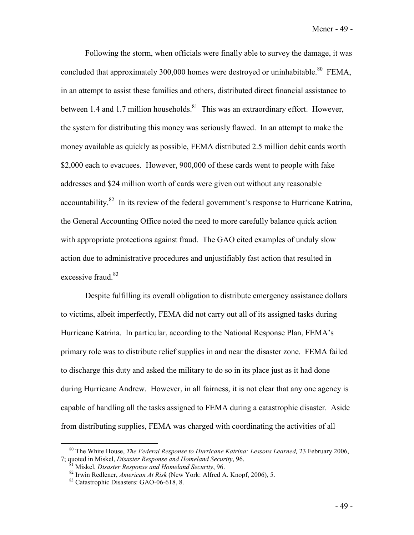Following the storm, when officials were finally able to survey the damage, it was concluded that approximately 300,000 homes were destroyed or uninhabitable.<sup>80</sup> FEMA, in an attempt to assist these families and others, distributed direct financial assistance to between 1.4 and 1.7 million households.<sup>81</sup> This was an extraordinary effort. However, the system for distributing this money was seriously flawed. In an attempt to make the money available as quickly as possible, FEMA distributed 2.5 million debit cards worth \$2,000 each to evacuees. However, 900,000 of these cards went to people with fake addresses and \$24 million worth of cards were given out without any reasonable accountability.<sup>82</sup> In its review of the federal government's response to Hurricane Katrina, the General Accounting Office noted the need to more carefully balance quick action with appropriate protections against fraud. The GAO cited examples of unduly slow action due to administrative procedures and unjustifiably fast action that resulted in excessive fraud.<sup>83</sup>

Despite fulfilling its overall obligation to distribute emergency assistance dollars to victims, albeit imperfectly, FEMA did not carry out all of its assigned tasks during Hurricane Katrina. In particular, according to the National Response Plan, FEMA's primary role was to distribute relief supplies in and near the disaster zone. FEMA failed to discharge this duty and asked the military to do so in its place just as it had done during Hurricane Andrew. However, in all fairness, it is not clear that any one agency is capable of handling all the tasks assigned to FEMA during a catastrophic disaster. Aside from distributing supplies, FEMA was charged with coordinating the activities of all

<sup>&</sup>lt;sup>80</sup> The White House, *The Federal Response to Hurricane Katrina: Lessons Learned*, 23 February 2006, 7; quoted in Miskel, *Disaster Response and Homeland Security*, 96.

<sup>&</sup>lt;sup>81</sup> Miskel, *Disaster Response and Homeland Security*, 96.<br><sup>82</sup> Irwin Redlener, *American At Risk* (New York: Alfred A. Knopf, 2006), 5.<br><sup>83</sup> Catastrophic Disasters: GAO-06-618, 8.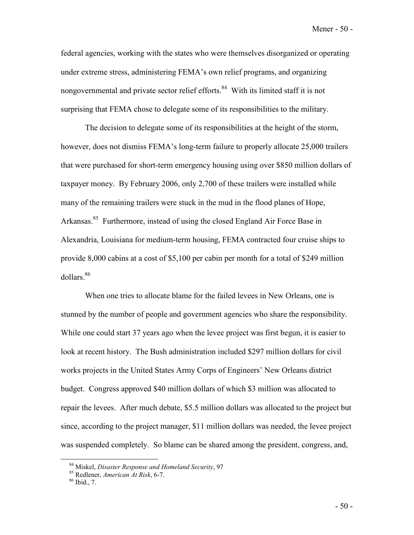Mener - 50 -

federal agencies, working with the states who were themselves disorganized or operating under extreme stress, administering FEMA's own relief programs, and organizing nongovernmental and private sector relief efforts.<sup>84</sup> With its limited staff it is not surprising that FEMA chose to delegate some of its responsibilities to the military.

 The decision to delegate some of its responsibilities at the height of the storm, however, does not dismiss FEMA's long-term failure to properly allocate 25,000 trailers that were purchased for short-term emergency housing using over \$850 million dollars of taxpayer money. By February 2006, only 2,700 of these trailers were installed while many of the remaining trailers were stuck in the mud in the flood planes of Hope, Arkansas.<sup>85</sup> Furthermore, instead of using the closed England Air Force Base in Alexandria, Louisiana for medium-term housing, FEMA contracted four cruise ships to provide 8,000 cabins at a cost of \$5,100 per cabin per month for a total of \$249 million dollars.<sup>86</sup>

When one tries to allocate blame for the failed levees in New Orleans, one is stunned by the number of people and government agencies who share the responsibility. While one could start 37 years ago when the levee project was first begun, it is easier to look at recent history. The Bush administration included \$297 million dollars for civil works projects in the United States Army Corps of Engineers' New Orleans district budget. Congress approved \$40 million dollars of which \$3 million was allocated to repair the levees. After much debate, \$5.5 million dollars was allocated to the project but since, according to the project manager, \$11 million dollars was needed, the levee project was suspended completely. So blame can be shared among the president, congress, and,

<sup>84</sup> Miskel, *Disaster Response and Homeland Security*, 97 85 Redlener, *American At Risk*, 6-7. 86 Ibid., 7.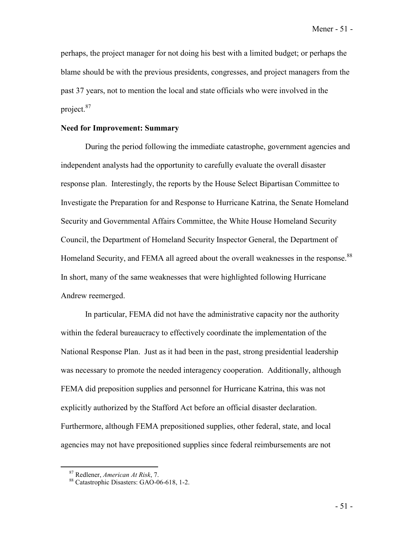Mener - 51 -

perhaps, the project manager for not doing his best with a limited budget; or perhaps the blame should be with the previous presidents, congresses, and project managers from the past 37 years, not to mention the local and state officials who were involved in the project.<sup>87</sup>

### **Need for Improvement: Summary**

 During the period following the immediate catastrophe, government agencies and independent analysts had the opportunity to carefully evaluate the overall disaster response plan. Interestingly, the reports by the House Select Bipartisan Committee to Investigate the Preparation for and Response to Hurricane Katrina, the Senate Homeland Security and Governmental Affairs Committee, the White House Homeland Security Council, the Department of Homeland Security Inspector General, the Department of Homeland Security, and FEMA all agreed about the overall weaknesses in the response.<sup>88</sup> In short, many of the same weaknesses that were highlighted following Hurricane Andrew reemerged.

 In particular, FEMA did not have the administrative capacity nor the authority within the federal bureaucracy to effectively coordinate the implementation of the National Response Plan. Just as it had been in the past, strong presidential leadership was necessary to promote the needed interagency cooperation. Additionally, although FEMA did preposition supplies and personnel for Hurricane Katrina, this was not explicitly authorized by the Stafford Act before an official disaster declaration. Furthermore, although FEMA prepositioned supplies, other federal, state, and local agencies may not have prepositioned supplies since federal reimbursements are not

<sup>&</sup>lt;sup>87</sup> Redlener, *American At Risk*, 7.<br><sup>88</sup> Catastrophic Disasters: GAO-06-618, 1-2.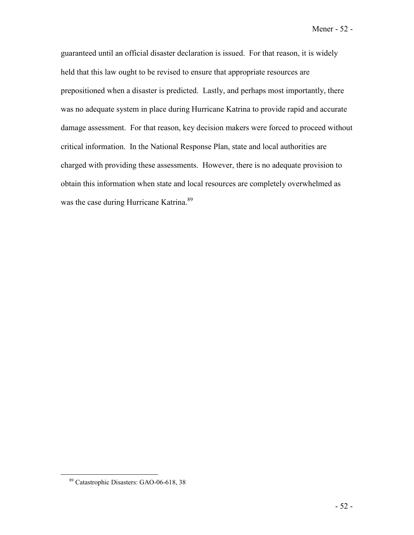Mener - 52 -

guaranteed until an official disaster declaration is issued. For that reason, it is widely held that this law ought to be revised to ensure that appropriate resources are prepositioned when a disaster is predicted. Lastly, and perhaps most importantly, there was no adequate system in place during Hurricane Katrina to provide rapid and accurate damage assessment. For that reason, key decision makers were forced to proceed without critical information. In the National Response Plan, state and local authorities are charged with providing these assessments. However, there is no adequate provision to obtain this information when state and local resources are completely overwhelmed as was the case during Hurricane Katrina.<sup>89</sup>

<sup>89</sup> Catastrophic Disasters: GAO-06-618, 38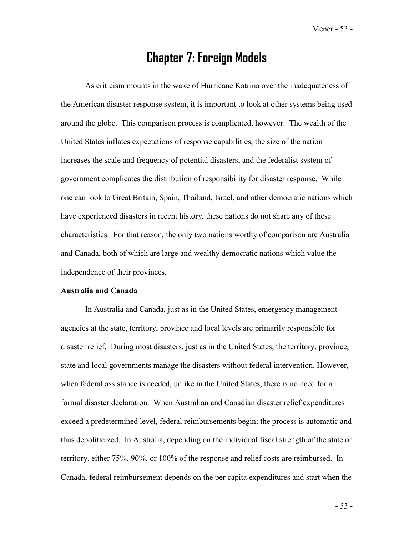Mener - 53 -

## **Chapter 7: Foreign Models**

 As criticism mounts in the wake of Hurricane Katrina over the inadequateness of the American disaster response system, it is important to look at other systems being used around the globe. This comparison process is complicated, however. The wealth of the United States inflates expectations of response capabilities, the size of the nation increases the scale and frequency of potential disasters, and the federalist system of government complicates the distribution of responsibility for disaster response. While one can look to Great Britain, Spain, Thailand, Israel, and other democratic nations which have experienced disasters in recent history, these nations do not share any of these characteristics. For that reason, the only two nations worthy of comparison are Australia and Canada, both of which are large and wealthy democratic nations which value the independence of their provinces.

### **Australia and Canada**

 In Australia and Canada, just as in the United States, emergency management agencies at the state, territory, province and local levels are primarily responsible for disaster relief. During most disasters, just as in the United States, the territory, province, state and local governments manage the disasters without federal intervention. However, when federal assistance is needed, unlike in the United States, there is no need for a formal disaster declaration. When Australian and Canadian disaster relief expenditures exceed a predetermined level, federal reimbursements begin; the process is automatic and thus depoliticized. In Australia, depending on the individual fiscal strength of the state or territory, either 75%, 90%, or 100% of the response and relief costs are reimbursed. In Canada, federal reimbursement depends on the per capita expenditures and start when the

- 53 -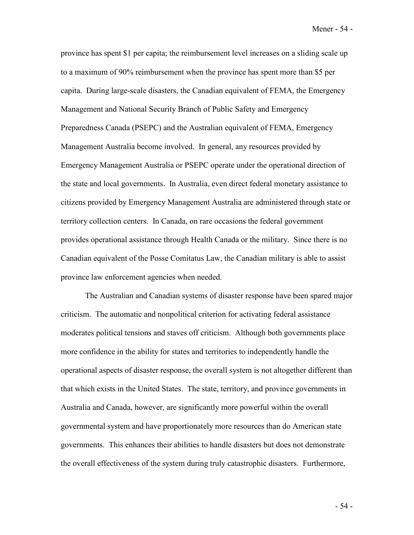Mener - 54 -

province has spent \$1 per capita; the reimbursement level increases on a sliding scale up to a maximum of 90% reimbursement when the province has spent more than \$5 per capita. During large-scale disasters, the Canadian equivalent of FEMA, the Emergency Management and National Security Branch of Public Safety and Emergency Preparedness Canada (PSEPC) and the Australian equivalent of FEMA, Emergency Management Australia become involved. In general, any resources provided by Emergency Management Australia or PSEPC operate under the operational direction of the state and local governments. In Australia, even direct federal monetary assistance to citizens provided by Emergency Management Australia are administered through state or territory collection centers. In Canada, on rare occasions the federal government provides operational assistance through Health Canada or the military. Since there is no Canadian equivalent of the Posse Comitatus Law, the Canadian military is able to assist province law enforcement agencies when needed.

 The Australian and Canadian systems of disaster response have been spared major criticism. The automatic and nonpolitical criterion for activating federal assistance moderates political tensions and staves off criticism. Although both governments place more confidence in the ability for states and territories to independently handle the operational aspects of disaster response, the overall system is not altogether different than that which exists in the United States. The state, territory, and province governments in Australia and Canada, however, are significantly more powerful within the overall governmental system and have proportionately more resources than do American state governments. This enhances their abilities to handle disasters but does not demonstrate the overall effectiveness of the system during truly catastrophic disasters. Furthermore,

- 54 -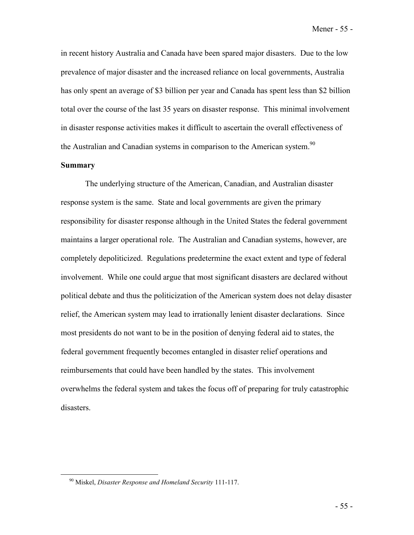in recent history Australia and Canada have been spared major disasters. Due to the low prevalence of major disaster and the increased reliance on local governments, Australia has only spent an average of \$3 billion per year and Canada has spent less than \$2 billion total over the course of the last 35 years on disaster response. This minimal involvement in disaster response activities makes it difficult to ascertain the overall effectiveness of the Australian and Canadian systems in comparison to the American system.<sup>90</sup>

### **Summary**

 The underlying structure of the American, Canadian, and Australian disaster response system is the same. State and local governments are given the primary responsibility for disaster response although in the United States the federal government maintains a larger operational role. The Australian and Canadian systems, however, are completely depoliticized. Regulations predetermine the exact extent and type of federal involvement. While one could argue that most significant disasters are declared without political debate and thus the politicization of the American system does not delay disaster relief, the American system may lead to irrationally lenient disaster declarations. Since most presidents do not want to be in the position of denying federal aid to states, the federal government frequently becomes entangled in disaster relief operations and reimbursements that could have been handled by the states. This involvement overwhelms the federal system and takes the focus off of preparing for truly catastrophic disasters.

<sup>90</sup> Miskel, *Disaster Response and Homeland Security* 111-117.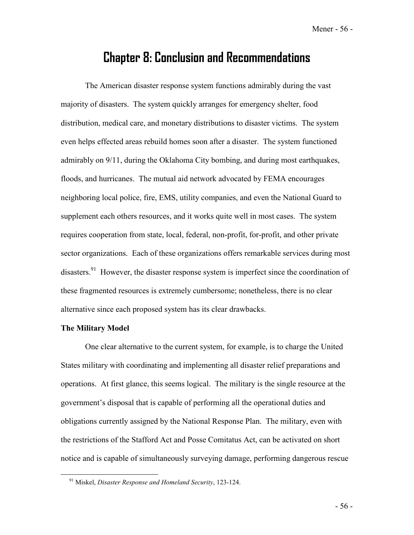Mener - 56 -

## **Chapter 8: Conclusion and Recommendations**

 The American disaster response system functions admirably during the vast majority of disasters. The system quickly arranges for emergency shelter, food distribution, medical care, and monetary distributions to disaster victims. The system even helps effected areas rebuild homes soon after a disaster. The system functioned admirably on 9/11, during the Oklahoma City bombing, and during most earthquakes, floods, and hurricanes. The mutual aid network advocated by FEMA encourages neighboring local police, fire, EMS, utility companies, and even the National Guard to supplement each others resources, and it works quite well in most cases. The system requires cooperation from state, local, federal, non-profit, for-profit, and other private sector organizations. Each of these organizations offers remarkable services during most disasters.<sup>91</sup> However, the disaster response system is imperfect since the coordination of these fragmented resources is extremely cumbersome; nonetheless, there is no clear alternative since each proposed system has its clear drawbacks.

### **The Military Model**

 One clear alternative to the current system, for example, is to charge the United States military with coordinating and implementing all disaster relief preparations and operations. At first glance, this seems logical. The military is the single resource at the government's disposal that is capable of performing all the operational duties and obligations currently assigned by the National Response Plan. The military, even with the restrictions of the Stafford Act and Posse Comitatus Act, can be activated on short notice and is capable of simultaneously surveying damage, performing dangerous rescue

<sup>91</sup> Miskel, *Disaster Response and Homeland Security*, 123-124.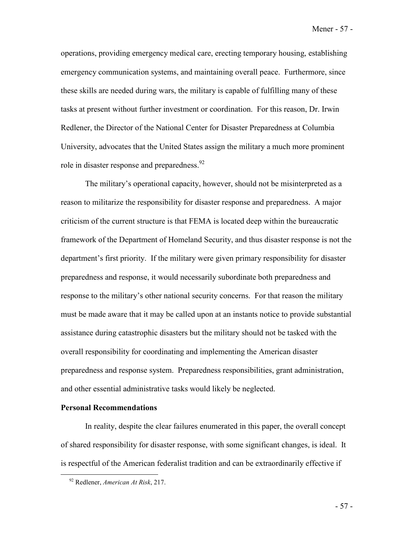Mener - 57 -

operations, providing emergency medical care, erecting temporary housing, establishing emergency communication systems, and maintaining overall peace. Furthermore, since these skills are needed during wars, the military is capable of fulfilling many of these tasks at present without further investment or coordination. For this reason, Dr. Irwin Redlener, the Director of the National Center for Disaster Preparedness at Columbia University, advocates that the United States assign the military a much more prominent role in disaster response and preparedness.<sup>92</sup>

The military's operational capacity, however, should not be misinterpreted as a reason to militarize the responsibility for disaster response and preparedness. A major criticism of the current structure is that FEMA is located deep within the bureaucratic framework of the Department of Homeland Security, and thus disaster response is not the department's first priority. If the military were given primary responsibility for disaster preparedness and response, it would necessarily subordinate both preparedness and response to the military's other national security concerns. For that reason the military must be made aware that it may be called upon at an instants notice to provide substantial assistance during catastrophic disasters but the military should not be tasked with the overall responsibility for coordinating and implementing the American disaster preparedness and response system. Preparedness responsibilities, grant administration, and other essential administrative tasks would likely be neglected.

#### **Personal Recommendations**

 In reality, despite the clear failures enumerated in this paper, the overall concept of shared responsibility for disaster response, with some significant changes, is ideal. It is respectful of the American federalist tradition and can be extraordinarily effective if

<sup>92</sup> Redlener, *American At Risk*, 217.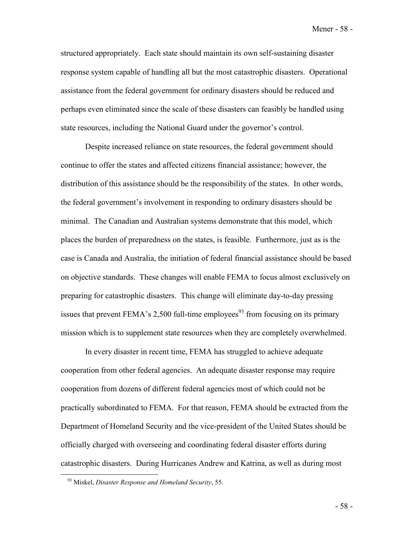Mener - 58 -

structured appropriately. Each state should maintain its own self-sustaining disaster response system capable of handling all but the most catastrophic disasters. Operational assistance from the federal government for ordinary disasters should be reduced and perhaps even eliminated since the scale of these disasters can feasibly be handled using state resources, including the National Guard under the governor's control.

 Despite increased reliance on state resources, the federal government should continue to offer the states and affected citizens financial assistance; however, the distribution of this assistance should be the responsibility of the states. In other words, the federal government's involvement in responding to ordinary disasters should be minimal. The Canadian and Australian systems demonstrate that this model, which places the burden of preparedness on the states, is feasible. Furthermore, just as is the case is Canada and Australia, the initiation of federal financial assistance should be based on objective standards. These changes will enable FEMA to focus almost exclusively on preparing for catastrophic disasters. This change will eliminate day-to-day pressing issues that prevent FEMA's 2,500 full-time employees<sup>93</sup> from focusing on its primary mission which is to supplement state resources when they are completely overwhelmed.

 In every disaster in recent time, FEMA has struggled to achieve adequate cooperation from other federal agencies. An adequate disaster response may require cooperation from dozens of different federal agencies most of which could not be practically subordinated to FEMA. For that reason, FEMA should be extracted from the Department of Homeland Security and the vice-president of the United States should be officially charged with overseeing and coordinating federal disaster efforts during catastrophic disasters. During Hurricanes Andrew and Katrina, as well as during most

<sup>93</sup> Miskel, *Disaster Response and Homeland Security*, 55.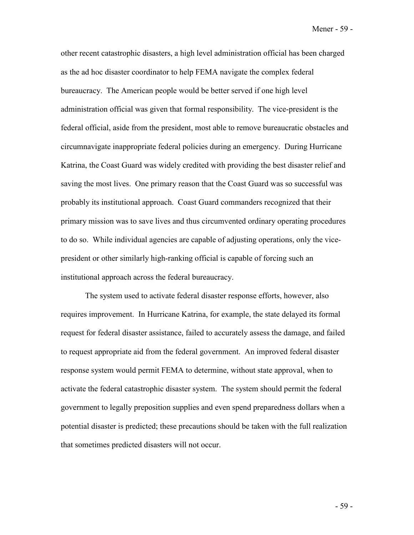Mener - 59 -

other recent catastrophic disasters, a high level administration official has been charged as the ad hoc disaster coordinator to help FEMA navigate the complex federal bureaucracy. The American people would be better served if one high level administration official was given that formal responsibility. The vice-president is the federal official, aside from the president, most able to remove bureaucratic obstacles and circumnavigate inappropriate federal policies during an emergency. During Hurricane Katrina, the Coast Guard was widely credited with providing the best disaster relief and saving the most lives. One primary reason that the Coast Guard was so successful was probably its institutional approach. Coast Guard commanders recognized that their primary mission was to save lives and thus circumvented ordinary operating procedures to do so. While individual agencies are capable of adjusting operations, only the vicepresident or other similarly high-ranking official is capable of forcing such an institutional approach across the federal bureaucracy.

 The system used to activate federal disaster response efforts, however, also requires improvement. In Hurricane Katrina, for example, the state delayed its formal request for federal disaster assistance, failed to accurately assess the damage, and failed to request appropriate aid from the federal government. An improved federal disaster response system would permit FEMA to determine, without state approval, when to activate the federal catastrophic disaster system. The system should permit the federal government to legally preposition supplies and even spend preparedness dollars when a potential disaster is predicted; these precautions should be taken with the full realization that sometimes predicted disasters will not occur.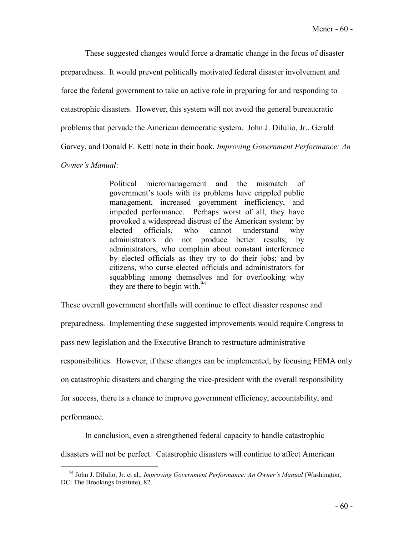These suggested changes would force a dramatic change in the focus of disaster preparedness. It would prevent politically motivated federal disaster involvement and force the federal government to take an active role in preparing for and responding to catastrophic disasters. However, this system will not avoid the general bureaucratic problems that pervade the American democratic system. John J. DiIulio, Jr., Gerald Garvey, and Donald F. Kettl note in their book, *Improving Government Performance: An* 

### *Owner's Manual*:

Political micromanagement and the mismatch of government's tools with its problems have crippled public management, increased government inefficiency, and impeded performance. Perhaps worst of all, they have provoked a widespread distrust of the American system: by elected officials, who cannot understand why administrators do not produce better results; by administrators, who complain about constant interference by elected officials as they try to do their jobs; and by citizens, who curse elected officials and administrators for squabbling among themselves and for overlooking why they are there to begin with.<sup>94</sup>

These overall government shortfalls will continue to effect disaster response and preparedness. Implementing these suggested improvements would require Congress to pass new legislation and the Executive Branch to restructure administrative responsibilities. However, if these changes can be implemented, by focusing FEMA only on catastrophic disasters and charging the vice-president with the overall responsibility for success, there is a chance to improve government efficiency, accountability, and performance.

 In conclusion, even a strengthened federal capacity to handle catastrophic disasters will not be perfect. Catastrophic disasters will continue to affect American

<sup>94</sup> John J. DiIulio, Jr. et al., *Improving Government Performance: An Owner's Manual* (Washington, DC: The Brookings Institute), 82.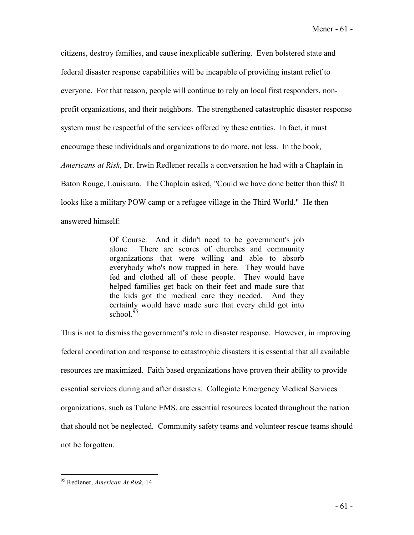citizens, destroy families, and cause inexplicable suffering. Even bolstered state and federal disaster response capabilities will be incapable of providing instant relief to everyone. For that reason, people will continue to rely on local first responders, nonprofit organizations, and their neighbors. The strengthened catastrophic disaster response system must be respectful of the services offered by these entities. In fact, it must encourage these individuals and organizations to do more, not less. In the book, *Americans at Risk*, Dr. Irwin Redlener recalls a conversation he had with a Chaplain in Baton Rouge, Louisiana. The Chaplain asked, "Could we have done better than this? It looks like a military POW camp or a refugee village in the Third World." He then answered himself:

> Of Course. And it didn't need to be government's job alone. There are scores of churches and community organizations that were willing and able to absorb everybody who's now trapped in here. They would have fed and clothed all of these people. They would have helped families get back on their feet and made sure that the kids got the medical care they needed. And they certainly would have made sure that every child got into school.<sup>95</sup>

This is not to dismiss the government's role in disaster response. However, in improving federal coordination and response to catastrophic disasters it is essential that all available resources are maximized. Faith based organizations have proven their ability to provide essential services during and after disasters. Collegiate Emergency Medical Services organizations, such as Tulane EMS, are essential resources located throughout the nation that should not be neglected. Community safety teams and volunteer rescue teams should not be forgotten.

<sup>95</sup> Redlener, *American At Risk*, 14.